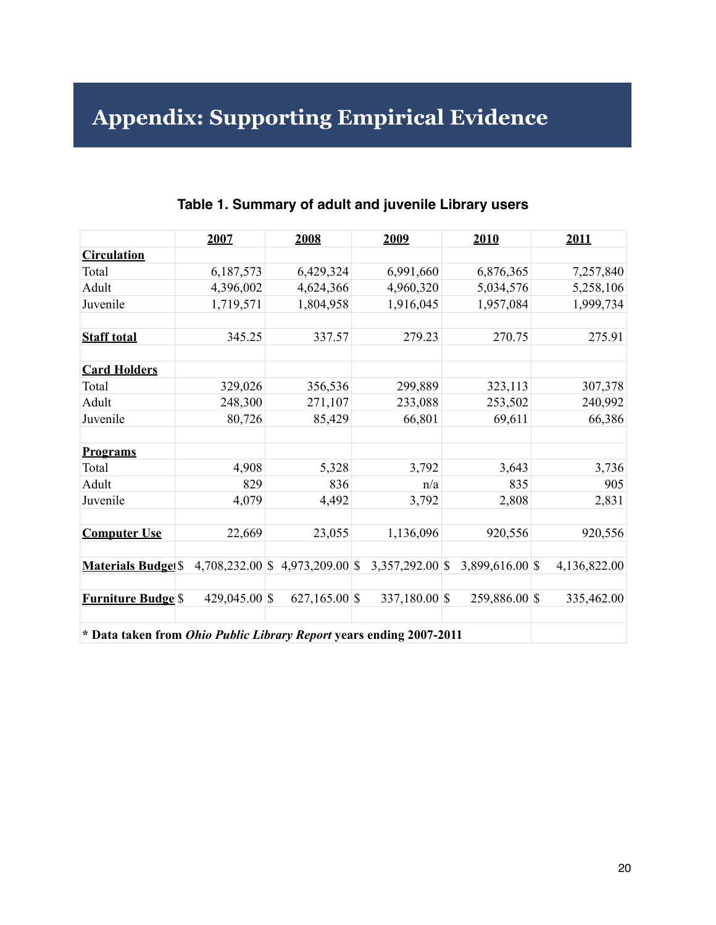# **Appendix: Supporting Empirical Evidence**

|                                                                     | 2007          | 2008                                | 2009              | 2010            | 2011         |
|---------------------------------------------------------------------|---------------|-------------------------------------|-------------------|-----------------|--------------|
| <b>Circulation</b>                                                  |               |                                     |                   |                 |              |
| Total                                                               | 6,187,573     | 6,429,324                           | 6,991,660         | 6,876,365       | 7,257,840    |
| Adult                                                               | 4,396,002     | 4,624,366                           | 4,960,320         | 5,034,576       | 5,258,106    |
| Juvenile                                                            | 1,719,571     | 1,804,958                           | 1,916,045         | 1,957,084       | 1,999,734    |
| <b>Staff total</b>                                                  | 345.25        | 337.57                              | 279.23            | 270.75          | 275.91       |
| <b>Card Holders</b>                                                 |               |                                     |                   |                 |              |
| Total                                                               | 329,026       | 356,536                             | 299,889           | 323,113         | 307,378      |
| Adult                                                               | 248,300       | 271,107                             | 233,088           | 253,502         | 240,992      |
| Juvenile                                                            | 80,726        | 85,429                              | 66,801            | 69,611          | 66,386       |
| <b>Programs</b>                                                     |               |                                     |                   |                 |              |
| Total                                                               | 4,908         | 5,328                               | 3,792             | 3,643           | 3,736        |
| Adult                                                               | 829           | 836                                 | n/a               | 835             | 905          |
| Juvenile                                                            | 4,079         | 4,492                               | 3,792             | 2,808           | 2,831        |
| <b>Computer Use</b>                                                 | 22,669        | 23,055                              | 1,136,096         | 920,556         | 920,556      |
| <b>Materials Budget</b> \$                                          |               | $4,708,232.00$ \$ $4,973,209.00$ \$ | $3,357,292.00$ \$ | 3,899,616.00 \$ | 4,136,822.00 |
| <b>Furniture Budge</b> \$                                           | 429,045.00 \$ | $627,165.00$ \$                     | 337,180.00 \$     | 259,886.00 \$   | 335,462.00   |
| * Data taken from Ohio Public Library Report years ending 2007-2011 |               |                                     |                   |                 |              |

### **Table 1. Summary of adult and juvenile Library users**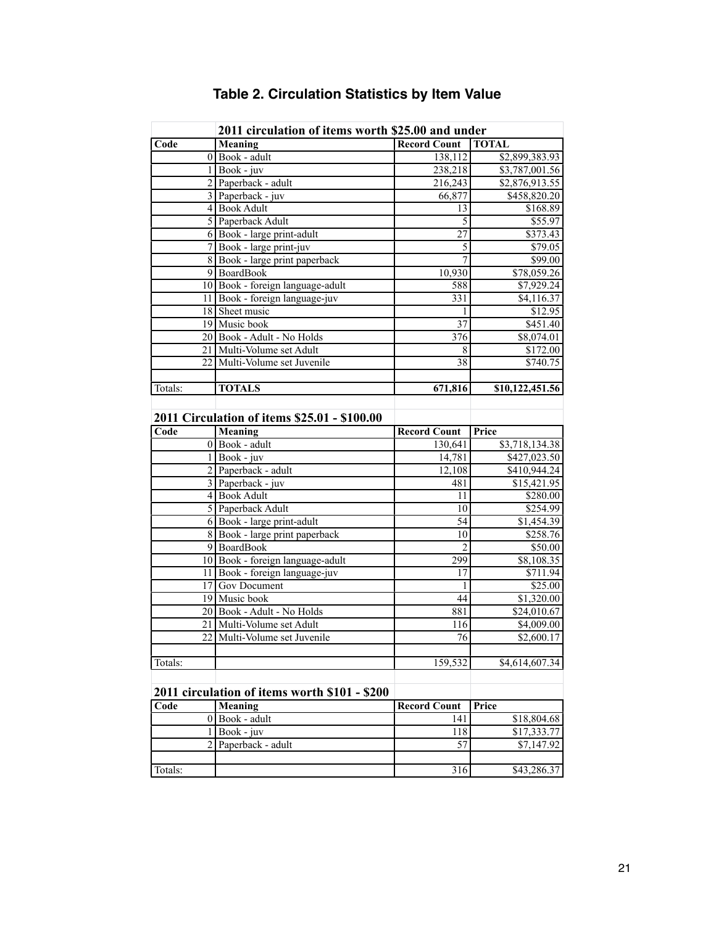|         | 2011 circulation of items worth \$25.00 and under |                     |                 |  |  |  |  |
|---------|---------------------------------------------------|---------------------|-----------------|--|--|--|--|
| Code    | Meaning                                           | <b>Record Count</b> | <b>TOTAL</b>    |  |  |  |  |
|         | $0$ Book - adult                                  | 138,112             | \$2,899,383.93  |  |  |  |  |
|         | $1$ Book - juv                                    | 238,218             | \$3,787,001.56  |  |  |  |  |
|         | 2 Paperback - adult                               | 216,243             | \$2,876,913.55  |  |  |  |  |
|         | 3 Paperback - juv                                 | 66,877              | \$458,820.20    |  |  |  |  |
|         | 4 Book Adult                                      | 13                  | \$168.89        |  |  |  |  |
|         | 5 Paperback Adult                                 | 5                   | \$55.97         |  |  |  |  |
|         | $6$ Book - large print-adult                      | $\overline{27}$     | \$373.43        |  |  |  |  |
|         | 7 Book - large print-juv                          | 5                   | \$79.05         |  |  |  |  |
|         | 8 Book - large print paperback                    | $\overline{7}$      | \$99.00         |  |  |  |  |
|         | 9 BoardBook                                       | 10,930              | \$78,059.26     |  |  |  |  |
|         | 10 Book - foreign language-adult                  | 588                 | \$7,929.24      |  |  |  |  |
|         | 11 Book - foreign language-juv                    | 331                 | \$4,116.37      |  |  |  |  |
|         | 18 Sheet music                                    | 1                   | \$12.95         |  |  |  |  |
|         | 19 Music book                                     | $\overline{37}$     | \$451.40        |  |  |  |  |
|         | 20 Book - Adult - No Holds                        | 376                 | \$8,074.01      |  |  |  |  |
|         | 21 Multi-Volume set Adult                         | 8                   | \$172.00        |  |  |  |  |
|         | 22 Multi-Volume set Juvenile                      | 38                  | \$740.75        |  |  |  |  |
| Totals: | <b>TOTALS</b>                                     | 671,816             | \$10,122,451.56 |  |  |  |  |
|         |                                                   |                     |                 |  |  |  |  |
|         | 2011 Circulation of items \$25.01 - \$100.00      |                     |                 |  |  |  |  |
| Code    | Meaning                                           | <b>Record Count</b> | Price           |  |  |  |  |
|         | $0$ Book - adult                                  | 130,641             | \$3,718,134.38  |  |  |  |  |
|         | $1$ Book - juv                                    | 14,781              | \$427,023.50    |  |  |  |  |
|         | 2 Paperback - adult                               | 12,108              | \$410,944.24    |  |  |  |  |
|         | 3 Paperback - juv                                 | 481                 | \$15,421.95     |  |  |  |  |
|         | 4 Book Adult                                      | 11                  | \$280.00        |  |  |  |  |
|         | 5 Paperback Adult                                 | 10                  | \$254.99        |  |  |  |  |
|         | 6 Book - large print-adult                        | 54                  | \$1,454.39      |  |  |  |  |
|         | 8 Book - large print paperback                    | 10                  | \$258.76        |  |  |  |  |
|         | 9 BoardBook                                       | $\overline{2}$      | \$50.00         |  |  |  |  |
|         | 10 Book - foreign language-adult                  | 299                 | \$8,108.35      |  |  |  |  |
|         | 11 Book - foreign language-juv                    | 17                  | \$711.94        |  |  |  |  |
|         | 17 Gov Document                                   | 1                   | \$25.00         |  |  |  |  |
|         | 19 Music book                                     | 44                  | \$1,320.00      |  |  |  |  |
|         | 20 Book - Adult - No Holds                        | 881                 | \$24,010.67     |  |  |  |  |
|         | 21 Multi-Volume set Adult                         | 116                 | \$4,009.00      |  |  |  |  |
|         | 22 Multi-Volume set Juvenile                      | 76                  | \$2,600.17      |  |  |  |  |
|         |                                                   |                     |                 |  |  |  |  |
| Totals: |                                                   | 159,532             | \$4,614,607.34  |  |  |  |  |
|         | 2011 circulation of items worth \$101 - \$200     |                     |                 |  |  |  |  |
| Code    | Meaning                                           | <b>Record Count</b> | Price           |  |  |  |  |
|         | $0$ Book - adult                                  | 141                 | \$18,804.68     |  |  |  |  |
|         | $1$ Book - juv                                    | 118                 | \$17,333.77     |  |  |  |  |
|         |                                                   |                     |                 |  |  |  |  |
|         |                                                   |                     |                 |  |  |  |  |
|         | 2 Paperback - adult                               | 57                  | \$7,147.92      |  |  |  |  |

# **Table 2. Circulation Statistics by Item Value**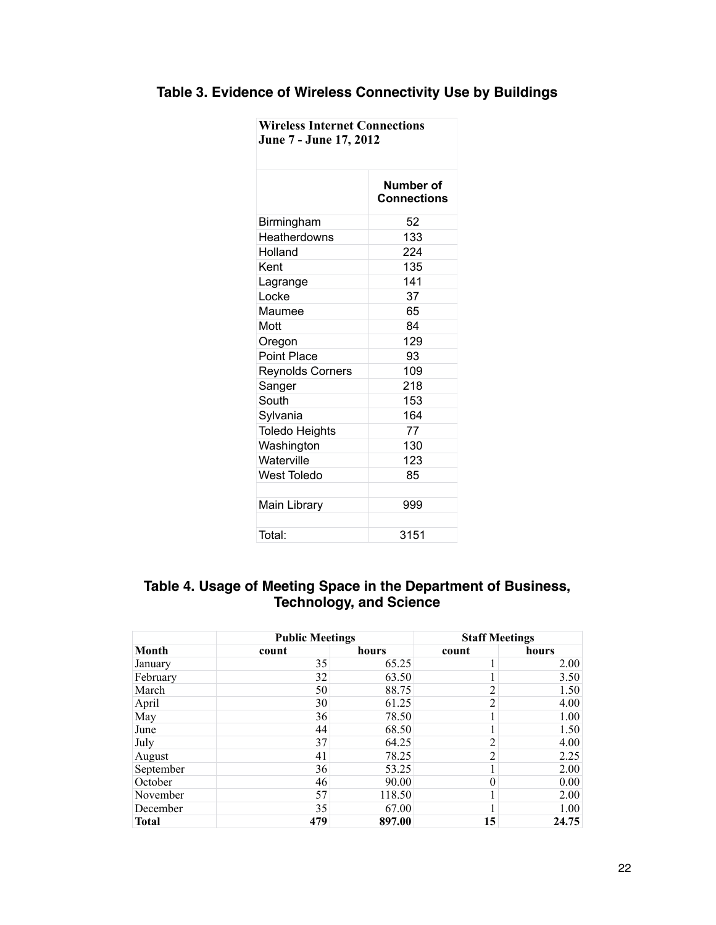| Table 3. Evidence of Wireless Connectivity Use by Buildings |  |  |  |
|-------------------------------------------------------------|--|--|--|
|-------------------------------------------------------------|--|--|--|

| <b>Wireless Internet Connections</b><br>June 7 - June 17, 2012 |                                        |  |  |  |
|----------------------------------------------------------------|----------------------------------------|--|--|--|
|                                                                | <b>Number of</b><br><b>Connections</b> |  |  |  |
| Birmingham                                                     | 52                                     |  |  |  |
| Heatherdowns                                                   | 133                                    |  |  |  |
| Holland                                                        | 224                                    |  |  |  |
| Kent                                                           | 135                                    |  |  |  |
| Lagrange                                                       | 141                                    |  |  |  |
| Locke                                                          | 37                                     |  |  |  |
| Maumee                                                         | 65                                     |  |  |  |
| Mott                                                           | 84                                     |  |  |  |
| Oregon                                                         | 129                                    |  |  |  |
| <b>Point Place</b>                                             | 93                                     |  |  |  |
| <b>Reynolds Corners</b>                                        | 109                                    |  |  |  |
| Sanger                                                         | 218                                    |  |  |  |
| South                                                          | 153                                    |  |  |  |
| Sylvania                                                       | 164                                    |  |  |  |
| <b>Toledo Heights</b>                                          | 77                                     |  |  |  |
| Washington                                                     | 130                                    |  |  |  |
| Waterville                                                     | 123                                    |  |  |  |
| <b>West Toledo</b>                                             | 85                                     |  |  |  |
| Main Library                                                   | 999                                    |  |  |  |
| Total:                                                         | 3151                                   |  |  |  |

#### **Table 4. Usage of Meeting Space in the Department of Business, Technology, and Science**

|              | <b>Public Meetings</b> |        | <b>Staff Meetings</b> |                   |
|--------------|------------------------|--------|-----------------------|-------------------|
| Month        | count                  | hours  | count                 | hours             |
| January      | 35                     | 65.25  |                       | 2.00              |
| February     | 32                     | 63.50  |                       | 3.50              |
| March        | 50                     | 88.75  | 2                     | 1.50              |
| April        | 30                     | 61.25  | $\overline{2}$        | 4.00              |
| May          | 36                     | 78.50  |                       | 1.00              |
| June         | 44                     | 68.50  |                       | 1.50              |
| July         | 37                     | 64.25  | $\overline{2}$        | 4.00              |
| August       | 41                     | 78.25  | $\overline{2}$        | 2.25              |
| September    | 36                     | 53.25  |                       | 2.00              |
| October      | 46                     | 90.00  | $\theta$              | 0.00 <sub>l</sub> |
| November     | 57                     | 118.50 |                       | 2.00              |
| December     | 35                     | 67.00  |                       | 1.00              |
| <b>Total</b> | 479                    | 897.00 | 15                    | 24.75             |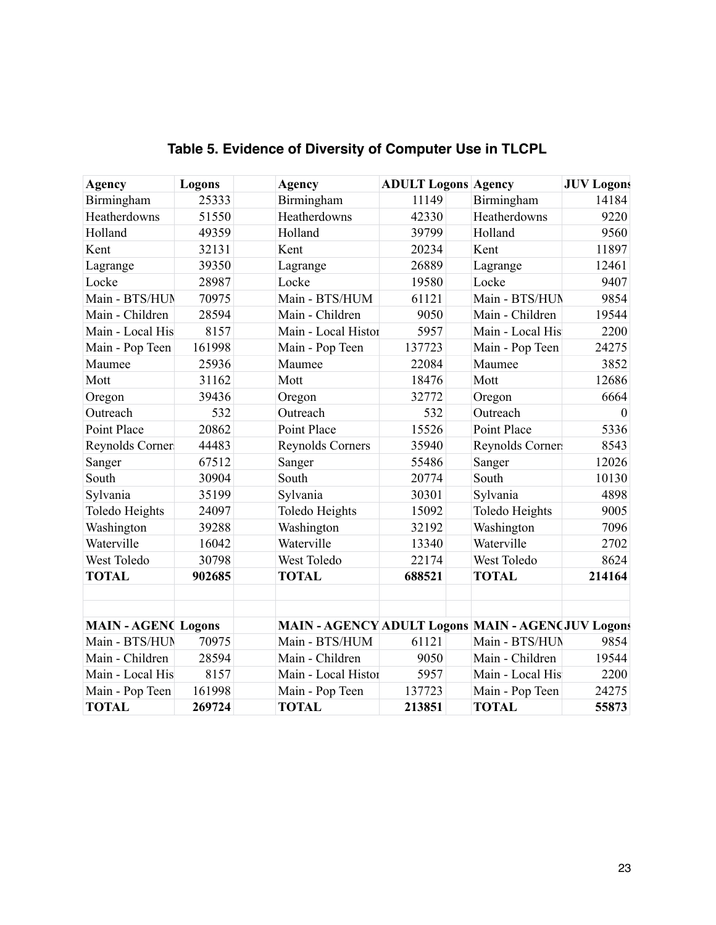| Agency                  | Logons | Agency                                            | <b>ADULT Logons Agency</b> |                  | <b>JUV Logons</b> |
|-------------------------|--------|---------------------------------------------------|----------------------------|------------------|-------------------|
| Birmingham              | 25333  | Birmingham                                        | 11149                      | Birmingham       | 14184             |
| Heatherdowns            | 51550  | Heatherdowns                                      | 42330                      | Heatherdowns     | 9220              |
| Holland                 | 49359  | Holland                                           | 39799                      | Holland          | 9560              |
| Kent                    | 32131  | Kent                                              | 20234                      | Kent             | 11897             |
| Lagrange                | 39350  | Lagrange                                          | 26889                      | Lagrange         | 12461             |
| Locke                   | 28987  | Locke                                             | 19580                      | Locke            | 9407              |
| Main - BTS/HUN          | 70975  | Main - BTS/HUM                                    | 61121                      | Main - BTS/HUN   | 9854              |
| Main - Children         | 28594  | Main - Children                                   | 9050                       | Main - Children  | 19544             |
| Main - Local His        | 8157   | Main - Local Histor                               | 5957                       | Main - Local His | 2200              |
| Main - Pop Teen         | 161998 | Main - Pop Teen                                   | 137723                     | Main - Pop Teen  | 24275             |
| Maumee                  | 25936  | Maumee                                            | 22084                      | Maumee           | 3852              |
| Mott                    | 31162  | Mott                                              | 18476                      | Mott             | 12686             |
| Oregon                  | 39436  | Oregon                                            | 32772                      | Oregon           | 6664              |
| Outreach                | 532    | Outreach                                          | 532                        | Outreach         | $\theta$          |
| Point Place             | 20862  | Point Place                                       | 15526                      | Point Place      | 5336              |
| Reynolds Corner         | 44483  | <b>Reynolds Corners</b>                           | 35940                      | Reynolds Corner  | 8543              |
| Sanger                  | 67512  | Sanger                                            | 55486                      | Sanger           | 12026             |
| South                   | 30904  | South                                             | 20774                      | South            | 10130             |
| Sylvania                | 35199  | Sylvania                                          | 30301                      | Sylvania         | 4898              |
| Toledo Heights          | 24097  | <b>Toledo Heights</b>                             | 15092                      | Toledo Heights   | 9005              |
| Washington              | 39288  | Washington                                        | 32192                      | Washington       | 7096              |
| Waterville              | 16042  | Waterville                                        | 13340                      | Waterville       | 2702              |
| West Toledo             | 30798  | West Toledo                                       | 22174                      | West Toledo      | 8624              |
| <b>TOTAL</b>            | 902685 | <b>TOTAL</b>                                      | 688521                     | <b>TOTAL</b>     | 214164            |
|                         |        |                                                   |                            |                  |                   |
|                         |        |                                                   |                            |                  |                   |
| <b>MAIN-AGEN(Logons</b> |        | MAIN - AGENCY ADULT Logons MAIN - AGEN(JUV Logons |                            |                  |                   |
| Main - BTS/HUN          | 70975  | Main - BTS/HUM                                    | 61121                      | Main - BTS/HUN   | 9854              |
| Main - Children         | 28594  | Main - Children                                   | 9050                       | Main - Children  | 19544             |
| Main - Local His        | 8157   | Main - Local Histor                               | 5957                       | Main - Local His | 2200              |
| Main - Pop Teen         | 161998 | Main - Pop Teen                                   | 137723                     | Main - Pop Teen  | 24275             |
| <b>TOTAL</b>            | 269724 | <b>TOTAL</b>                                      | 213851                     | <b>TOTAL</b>     | 55873             |

# **Table 5. Evidence of Diversity of Computer Use in TLCPL**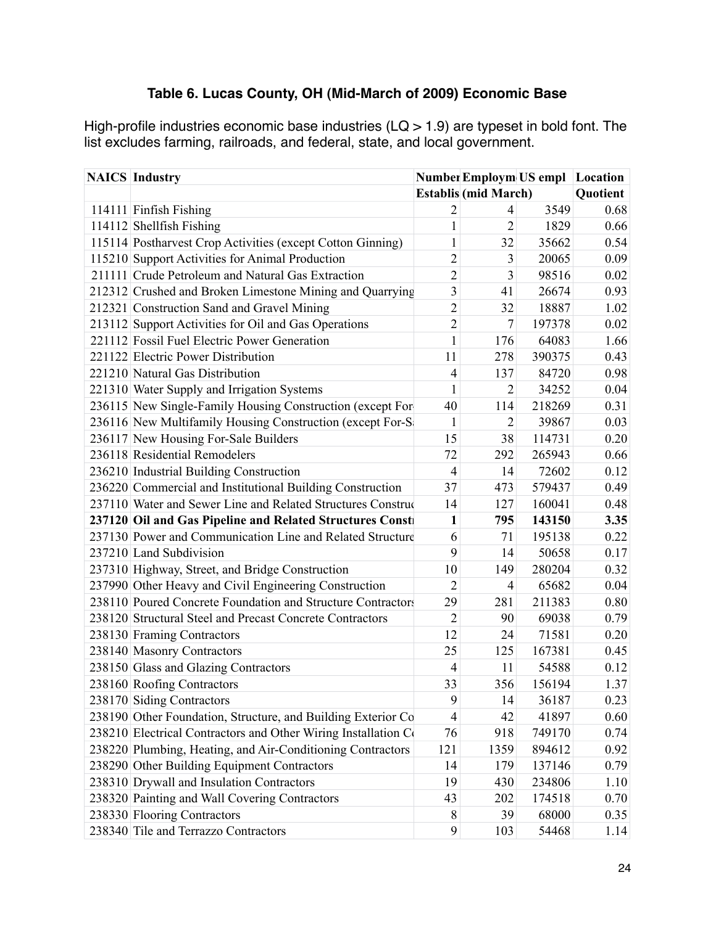## **Table 6. Lucas County, OH (Mid-March of 2009) Economic Base**

High-profile industries economic base industries ( $LQ > 1.9$ ) are typeset in bold font. The list excludes farming, railroads, and federal, state, and local government.

| <b>NAICS</b> Industry                                          |                | <b>Number Employm US empl Location</b> |        |          |
|----------------------------------------------------------------|----------------|----------------------------------------|--------|----------|
|                                                                |                | <b>Establis (mid March)</b>            |        | Quotient |
| 114111 Finfish Fishing                                         | $\overline{c}$ | $\overline{4}$                         | 3549   | 0.68     |
| 114112 Shellfish Fishing                                       | $\mathbf{1}$   | $\overline{2}$                         | 1829   | 0.66     |
| 115114 Postharvest Crop Activities (except Cotton Ginning)     | $\mathbf{1}$   | 32                                     | 35662  | 0.54     |
| 115210 Support Activities for Animal Production                | $\overline{2}$ | $\mathfrak{Z}$                         | 20065  | 0.09     |
| 211111 Crude Petroleum and Natural Gas Extraction              | $\overline{2}$ | 3                                      | 98516  | 0.02     |
| 212312 Crushed and Broken Limestone Mining and Quarrying       | $\mathfrak{Z}$ | 41                                     | 26674  | 0.93     |
| 212321 Construction Sand and Gravel Mining                     | $\overline{2}$ | 32                                     | 18887  | 1.02     |
| 213112 Support Activities for Oil and Gas Operations           | $\overline{2}$ | $\boldsymbol{7}$                       | 197378 | 0.02     |
| 221112 Fossil Fuel Electric Power Generation                   | $\mathbf{1}$   | 176                                    | 64083  | 1.66     |
| 221122 Electric Power Distribution                             | 11             | 278                                    | 390375 | 0.43     |
| 221210 Natural Gas Distribution                                | $\overline{4}$ | 137                                    | 84720  | 0.98     |
| 221310 Water Supply and Irrigation Systems                     | $\mathbf{1}$   | $\overline{2}$                         | 34252  | 0.04     |
| 236115 New Single-Family Housing Construction (except For-     | 40             | 114                                    | 218269 | 0.31     |
| 236116 New Multifamily Housing Construction (except For-S)     | $\mathbf{1}$   | $\overline{2}$                         | 39867  | 0.03     |
| 236117 New Housing For-Sale Builders                           | 15             | 38                                     | 114731 | 0.20     |
| 236118 Residential Remodelers                                  | 72             | 292                                    | 265943 | 0.66     |
| 236210 Industrial Building Construction                        | $\overline{4}$ | 14                                     | 72602  | 0.12     |
| 236220 Commercial and Institutional Building Construction      | 37             | 473                                    | 579437 | 0.49     |
| 237110 Water and Sewer Line and Related Structures Construc    | 14             | 127                                    | 160041 | 0.48     |
| 237120 Oil and Gas Pipeline and Related Structures Const       | $\mathbf{1}$   | 795                                    | 143150 | 3.35     |
| 237130 Power and Communication Line and Related Structure      | 6              | 71                                     | 195138 | 0.22     |
| 237210 Land Subdivision                                        | 9              | 14                                     | 50658  | 0.17     |
| 237310 Highway, Street, and Bridge Construction                | 10             | 149                                    | 280204 | 0.32     |
| 237990 Other Heavy and Civil Engineering Construction          | $\overline{2}$ | $\overline{4}$                         | 65682  | 0.04     |
| 238110 Poured Concrete Foundation and Structure Contractors    | 29             | 281                                    | 211383 | 0.80     |
| 238120 Structural Steel and Precast Concrete Contractors       | $\overline{2}$ | 90                                     | 69038  | 0.79     |
| 238130 Framing Contractors                                     | 12             | 24                                     | 71581  | 0.20     |
| 238140 Masonry Contractors                                     | 25             | 125                                    | 167381 | 0.45     |
| 238150 Glass and Glazing Contractors                           | $\overline{4}$ | 11                                     | 54588  | 0.12     |
| 238160 Roofing Contractors                                     | 33             | 356                                    | 156194 | 1.37     |
| 238170 Siding Contractors                                      | 9              | 14                                     | 36187  | 0.23     |
| 238190 Other Foundation, Structure, and Building Exterior Co   | 4              | 42                                     | 41897  | 0.60     |
| 238210 Electrical Contractors and Other Wiring Installation Co | 76             | 918                                    | 749170 | 0.74     |
| 238220 Plumbing, Heating, and Air-Conditioning Contractors     | 121            | 1359                                   | 894612 | 0.92     |
| 238290 Other Building Equipment Contractors                    | 14             | 179                                    | 137146 | 0.79     |
| 238310 Drywall and Insulation Contractors                      | 19             | 430                                    | 234806 | 1.10     |
| 238320 Painting and Wall Covering Contractors                  | 43             | 202                                    | 174518 | 0.70     |
| 238330 Flooring Contractors                                    | 8              | 39                                     | 68000  | 0.35     |
| 238340 Tile and Terrazzo Contractors                           | 9              | 103                                    | 54468  | 1.14     |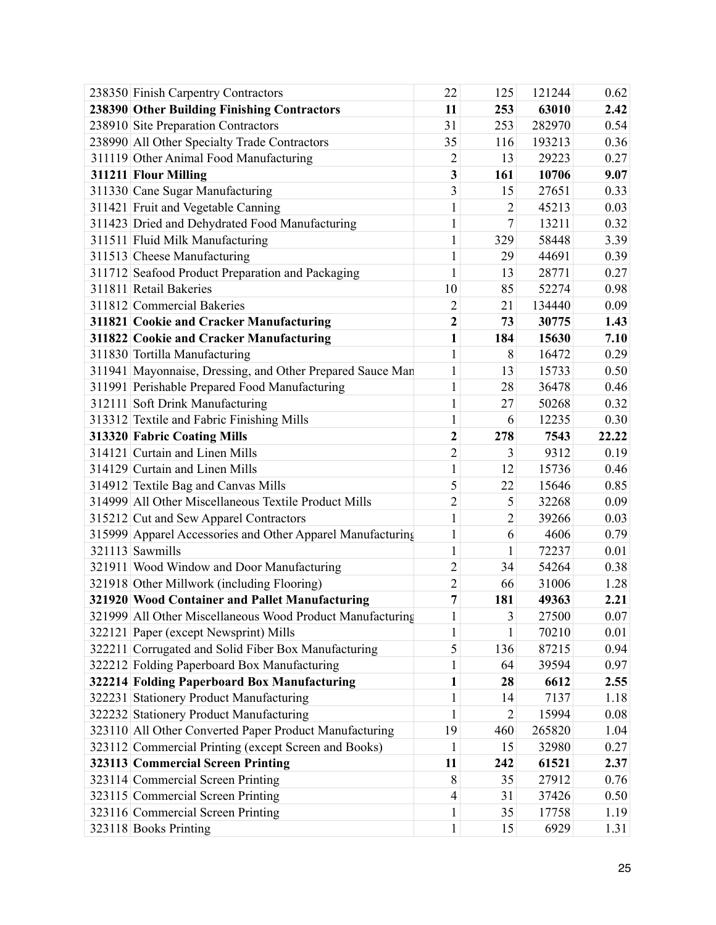| 238350 Finish Carpentry Contractors                        | 22                      | 125            | 121244 | 0.62  |
|------------------------------------------------------------|-------------------------|----------------|--------|-------|
| 238390 Other Building Finishing Contractors                | 11                      | 253            | 63010  | 2.42  |
| 238910 Site Preparation Contractors                        | 31                      | 253            | 282970 | 0.54  |
| 238990 All Other Specialty Trade Contractors               | 35                      | 116            | 193213 | 0.36  |
| 311119 Other Animal Food Manufacturing                     | $\overline{2}$          | 13             | 29223  | 0.27  |
| 311211 Flour Milling                                       | 3                       | 161            | 10706  | 9.07  |
| 311330 Cane Sugar Manufacturing                            | 3                       | 15             | 27651  | 0.33  |
| 311421 Fruit and Vegetable Canning                         | $\mathbf{1}$            | $\overline{2}$ | 45213  | 0.03  |
| 311423 Dried and Dehydrated Food Manufacturing             | $\mathbf{1}$            | $\overline{7}$ | 13211  | 0.32  |
| 311511 Fluid Milk Manufacturing                            | $\mathbf{1}$            | 329            | 58448  | 3.39  |
| 311513 Cheese Manufacturing                                | $\mathbf{1}$            | 29             | 44691  | 0.39  |
| 311712 Seafood Product Preparation and Packaging           | $\mathbf{1}$            | 13             | 28771  | 0.27  |
| 311811 Retail Bakeries                                     | 10                      | 85             | 52274  | 0.98  |
| 311812 Commercial Bakeries                                 | $\overline{2}$          | 21             | 134440 | 0.09  |
| 311821 Cookie and Cracker Manufacturing                    | $\overline{2}$          | 73             | 30775  | 1.43  |
| 311822 Cookie and Cracker Manufacturing                    | $\mathbf{1}$            | 184            | 15630  | 7.10  |
| 311830 Tortilla Manufacturing                              | $\mathbf{1}$            | 8              | 16472  | 0.29  |
| 311941 Mayonnaise, Dressing, and Other Prepared Sauce Man  | $\mathbf{1}$            | 13             | 15733  | 0.50  |
| 311991 Perishable Prepared Food Manufacturing              | $\mathbf{1}$            | 28             | 36478  | 0.46  |
| 312111 Soft Drink Manufacturing                            | $\mathbf{1}$            | 27             | 50268  | 0.32  |
| 313312 Textile and Fabric Finishing Mills                  | $\mathbf{1}$            | 6              | 12235  | 0.30  |
| 313320 Fabric Coating Mills                                | $\overline{\mathbf{c}}$ | 278            | 7543   | 22.22 |
| 314121 Curtain and Linen Mills                             | $\overline{c}$          | 3              | 9312   | 0.19  |
| 314129 Curtain and Linen Mills                             | $\mathbf{1}$            | 12             | 15736  | 0.46  |
| 314912 Textile Bag and Canvas Mills                        | 5                       | 22             | 15646  | 0.85  |
| 314999 All Other Miscellaneous Textile Product Mills       | $\overline{c}$          | 5              | 32268  | 0.09  |
| 315212 Cut and Sew Apparel Contractors                     | $\mathbf{1}$            | $\overline{2}$ | 39266  | 0.03  |
| 315999 Apparel Accessories and Other Apparel Manufacturing | $\mathbf{1}$            | 6              | 4606   | 0.79  |
| 321113 Sawmills                                            | $\mathbf{1}$            | 1              | 72237  | 0.01  |
| 321911 Wood Window and Door Manufacturing                  | $\overline{2}$          | 34             | 54264  | 0.38  |
| 321918 Other Millwork (including Flooring)                 | $\overline{c}$          | 66             | 31006  | 1.28  |
| 321920 Wood Container and Pallet Manufacturing             | $\overline{7}$          | 181            | 49363  | 2.21  |
| 321999 All Other Miscellaneous Wood Product Manufacturing  | $\mathbf{1}$            | 3              | 27500  | 0.07  |
| 322121 Paper (except Newsprint) Mills                      | $\mathbf{1}$            | 1              | 70210  | 0.01  |
| 322211 Corrugated and Solid Fiber Box Manufacturing        | 5                       | 136            | 87215  | 0.94  |
| 322212 Folding Paperboard Box Manufacturing                | 1                       | 64             | 39594  | 0.97  |
| 322214 Folding Paperboard Box Manufacturing                | $\mathbf{1}$            | 28             | 6612   | 2.55  |
| 322231 Stationery Product Manufacturing                    | $\mathbf{1}$            | 14             | 7137   | 1.18  |
| 322232 Stationery Product Manufacturing                    | $\mathbf{1}$            | $\overline{2}$ | 15994  | 0.08  |
| 323110 All Other Converted Paper Product Manufacturing     | 19                      | 460            | 265820 | 1.04  |
| 323112 Commercial Printing (except Screen and Books)       | 1                       | 15             | 32980  | 0.27  |
|                                                            |                         |                |        |       |
| 323113 Commercial Screen Printing                          | 11                      | 242            | 61521  | 2.37  |
| 323114 Commercial Screen Printing                          | $8\,$                   | 35             | 27912  | 0.76  |
| 323115 Commercial Screen Printing                          | $\overline{4}$          | 31             | 37426  | 0.50  |
| 323116 Commercial Screen Printing                          | $\mathbf{1}$            | 35             | 17758  | 1.19  |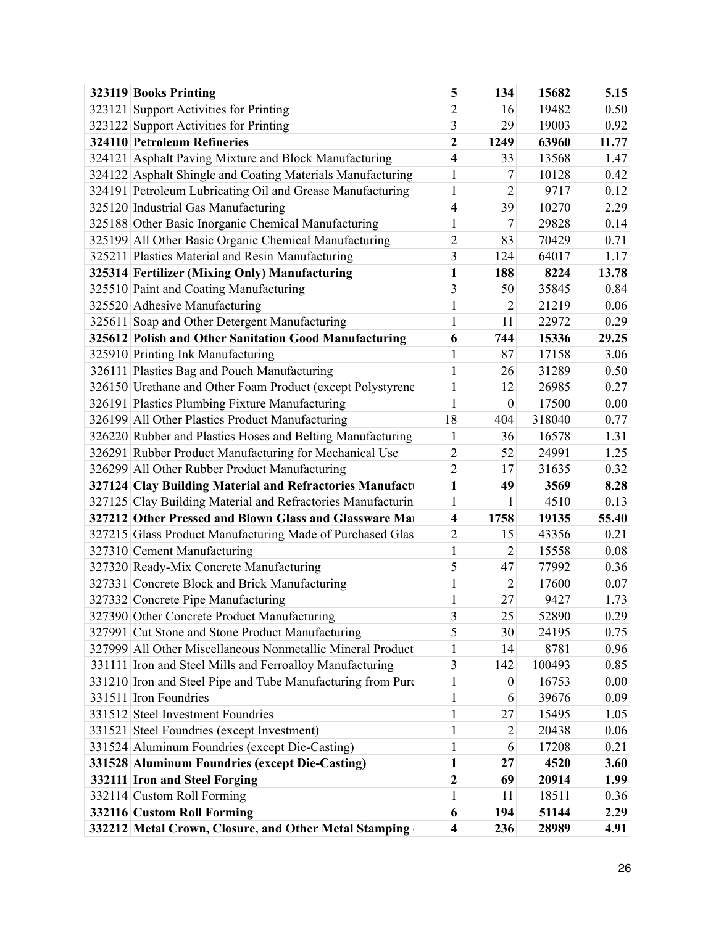| 323119 Books Printing                                       | 5                       | 134              | 15682  | 5.15  |
|-------------------------------------------------------------|-------------------------|------------------|--------|-------|
| 323121 Support Activities for Printing                      | $\overline{c}$          | 16               | 19482  | 0.50  |
| 323122 Support Activities for Printing                      | 3                       | 29               | 19003  | 0.92  |
| <b>324110 Petroleum Refineries</b>                          | $\overline{c}$          | 1249             | 63960  | 11.77 |
| 324121 Asphalt Paving Mixture and Block Manufacturing       | 4                       | 33               | 13568  | 1.47  |
| 324122 Asphalt Shingle and Coating Materials Manufacturing  | $\mathbf{1}$            | 7                | 10128  | 0.42  |
| 324191 Petroleum Lubricating Oil and Grease Manufacturing   | $\mathbf{1}$            | $\overline{2}$   | 9717   | 0.12  |
| 325120 Industrial Gas Manufacturing                         | 4                       | 39               | 10270  | 2.29  |
| 325188 Other Basic Inorganic Chemical Manufacturing         | $\mathbf{1}$            | 7                | 29828  | 0.14  |
| 325199 All Other Basic Organic Chemical Manufacturing       | $\overline{c}$          | 83               | 70429  | 0.71  |
| 325211 Plastics Material and Resin Manufacturing            | 3                       | 124              | 64017  | 1.17  |
| 325314 Fertilizer (Mixing Only) Manufacturing               | $\mathbf{1}$            | 188              | 8224   | 13.78 |
| 325510 Paint and Coating Manufacturing                      | 3                       | 50               | 35845  | 0.84  |
| 325520 Adhesive Manufacturing                               | $\mathbf{1}$            | $\overline{2}$   | 21219  | 0.06  |
| 325611 Soap and Other Detergent Manufacturing               | $\mathbf{1}$            | 11               | 22972  | 0.29  |
| 325612 Polish and Other Sanitation Good Manufacturing       | 6                       | 744              | 15336  | 29.25 |
| 325910 Printing Ink Manufacturing                           | $\mathbf{1}$            | 87               | 17158  | 3.06  |
| 326111 Plastics Bag and Pouch Manufacturing                 | $\mathbf{1}$            | 26               | 31289  | 0.50  |
| 326150 Urethane and Other Foam Product (except Polystyrene  | $\mathbf{1}$            | 12               | 26985  | 0.27  |
| 326191 Plastics Plumbing Fixture Manufacturing              | $\mathbf{1}$            | $\boldsymbol{0}$ | 17500  | 0.00  |
| 326199 All Other Plastics Product Manufacturing             | 18                      | 404              | 318040 | 0.77  |
| 326220 Rubber and Plastics Hoses and Belting Manufacturing  | 1                       | 36               | 16578  | 1.31  |
| 326291 Rubber Product Manufacturing for Mechanical Use      | $\overline{c}$          | 52               | 24991  | 1.25  |
| 326299 All Other Rubber Product Manufacturing               | $\overline{2}$          | 17               | 31635  | 0.32  |
| 327124 Clay Building Material and Refractories Manufact     | $\mathbf{1}$            | 49               | 3569   | 8.28  |
| 327125 Clay Building Material and Refractories Manufacturin | $\mathbf{1}$            | 1                | 4510   | 0.13  |
| 327212 Other Pressed and Blown Glass and Glassware Ma       | $\overline{\mathbf{4}}$ | 1758             | 19135  | 55.40 |
| 327215 Glass Product Manufacturing Made of Purchased Glas   | $\overline{2}$          | 15               | 43356  | 0.21  |
| 327310 Cement Manufacturing                                 | $\mathbf{1}$            | $\overline{2}$   | 15558  | 0.08  |
| 327320 Ready-Mix Concrete Manufacturing                     | 5                       | 47               | 77992  | 0.36  |
| 327331 Concrete Block and Brick Manufacturing               | $\mathbf{1}$            | $\overline{2}$   | 17600  | 0.07  |
| 327332 Concrete Pipe Manufacturing                          | $\mathbf{1}$            | 27               | 9427   | 1.73  |
| 327390 Other Concrete Product Manufacturing                 | 3                       | 25               | 52890  | 0.29  |
| 327991 Cut Stone and Stone Product Manufacturing            | 5                       | 30               | 24195  | 0.75  |
| 327999 All Other Miscellaneous Nonmetallic Mineral Product  | $\mathbf{1}$            | 14               | 8781   | 0.96  |
| 331111 Iron and Steel Mills and Ferroalloy Manufacturing    | 3                       | 142              | 100493 | 0.85  |
| 331210 Iron and Steel Pipe and Tube Manufacturing from Purc | $\mathbf{1}$            | $\boldsymbol{0}$ | 16753  | 0.00  |
| 331511 Iron Foundries                                       | $\mathbf{1}$            | 6                | 39676  | 0.09  |
| 331512 Steel Investment Foundries                           | $\mathbf{1}$            | 27               | 15495  | 1.05  |
| 331521 Steel Foundries (except Investment)                  | $\mathbf{1}$            | 2                | 20438  | 0.06  |
| 331524 Aluminum Foundries (except Die-Casting)              | $\mathbf{1}$            | 6                | 17208  | 0.21  |
| 331528 Aluminum Foundries (except Die-Casting)              | $\mathbf{1}$            | 27               | 4520   | 3.60  |
| 332111 Iron and Steel Forging                               | $\boldsymbol{2}$        | 69               | 20914  | 1.99  |
| 332114 Custom Roll Forming                                  | $\mathbf{1}$            | 11               | 18511  | 0.36  |
| 332116 Custom Roll Forming                                  | 6                       | 194              | 51144  | 2.29  |
| 332212 Metal Crown, Closure, and Other Metal Stamping       | $\boldsymbol{4}$        | 236              | 28989  | 4.91  |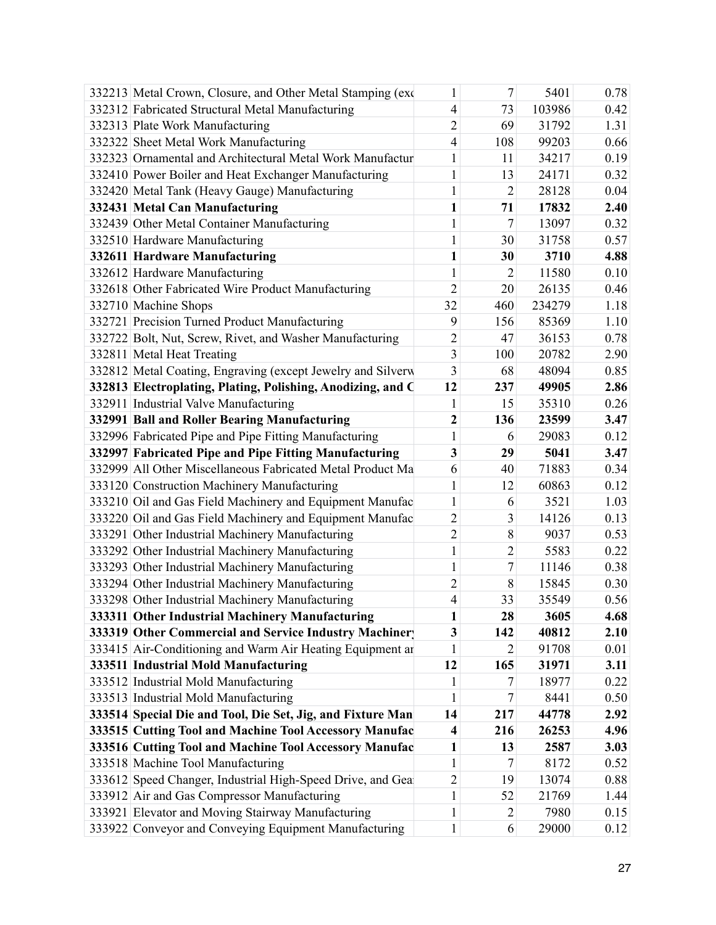| 332213 Metal Crown, Closure, and Other Metal Stamping (exc  | 1                | $7\overline{ }$ | 5401   | 0.78 |
|-------------------------------------------------------------|------------------|-----------------|--------|------|
| 332312 Fabricated Structural Metal Manufacturing            | 4                | 73              | 103986 | 0.42 |
| 332313 Plate Work Manufacturing                             | $\overline{2}$   | 69              | 31792  | 1.31 |
| 332322 Sheet Metal Work Manufacturing                       | 4                | 108             | 99203  | 0.66 |
| 332323 Ornamental and Architectural Metal Work Manufactur   | 1                | 11              | 34217  | 0.19 |
| 332410 Power Boiler and Heat Exchanger Manufacturing        | $\mathbf{1}$     | 13              | 24171  | 0.32 |
| 332420 Metal Tank (Heavy Gauge) Manufacturing               | 1                | $\overline{2}$  | 28128  | 0.04 |
| 332431 Metal Can Manufacturing                              | $\mathbf{1}$     | 71              | 17832  | 2.40 |
| 332439 Other Metal Container Manufacturing                  |                  | $7\overline{ }$ | 13097  | 0.32 |
| 332510 Hardware Manufacturing                               | 1                | 30              | 31758  | 0.57 |
| 332611 Hardware Manufacturing                               | $\mathbf{1}$     | 30              | 3710   | 4.88 |
| 332612 Hardware Manufacturing                               | 1                | $\overline{2}$  | 11580  | 0.10 |
| 332618 Other Fabricated Wire Product Manufacturing          | $\overline{2}$   | 20              | 26135  | 0.46 |
| 332710 Machine Shops                                        | 32               | 460             | 234279 | 1.18 |
| 332721 Precision Turned Product Manufacturing               | 9                | 156             | 85369  | 1.10 |
| 332722 Bolt, Nut, Screw, Rivet, and Washer Manufacturing    | 2                | 47              | 36153  | 0.78 |
| 332811 Metal Heat Treating                                  | 3                | 100             | 20782  | 2.90 |
| 332812 Metal Coating, Engraving (except Jewelry and Silverw | 3                | 68              | 48094  | 0.85 |
| 332813 Electroplating, Plating, Polishing, Anodizing, and C | 12               | 237             | 49905  | 2.86 |
| 332911 Industrial Valve Manufacturing                       | 1                | 15              | 35310  | 0.26 |
| 332991 Ball and Roller Bearing Manufacturing                | $\boldsymbol{2}$ | 136             | 23599  | 3.47 |
| 332996 Fabricated Pipe and Pipe Fitting Manufacturing       | 1                | 6               | 29083  | 0.12 |
| 332997 Fabricated Pipe and Pipe Fitting Manufacturing       | 3                | 29              | 5041   | 3.47 |
| 332999 All Other Miscellaneous Fabricated Metal Product Ma  | 6                | 40              | 71883  | 0.34 |
| 333120 Construction Machinery Manufacturing                 | 1                | 12              | 60863  | 0.12 |
| 333210 Oil and Gas Field Machinery and Equipment Manufac    | 1                | 6               | 3521   | 1.03 |
| 333220 Oil and Gas Field Machinery and Equipment Manufac    | $\overline{c}$   | 3               | 14126  | 0.13 |
| 333291 Other Industrial Machinery Manufacturing             | $\overline{2}$   | 8               | 9037   | 0.53 |
| 333292 Other Industrial Machinery Manufacturing             | 1                | $\overline{2}$  | 5583   | 0.22 |
| 333293 Other Industrial Machinery Manufacturing             |                  | $7\overline{ }$ | 11146  | 0.38 |
| 333294 Other Industrial Machinery Manufacturing             | 2                | 8               | 15845  | 0.30 |
| 333298 Other Industrial Machinery Manufacturing             | 4                | 33              | 35549  | 0.56 |
| 333311 Other Industrial Machinery Manufacturing             | $\mathbf{1}$     | 28              | 3605   | 4.68 |
| 333319 Other Commercial and Service Industry Machiner       | 3                | 142             | 40812  | 2.10 |
| 333415 Air-Conditioning and Warm Air Heating Equipment ar   |                  | 2               | 91708  | 0.01 |
| 333511 Industrial Mold Manufacturing                        | 12               | 165             | 31971  | 3.11 |
| 333512 Industrial Mold Manufacturing                        | 1                | 7               | 18977  | 0.22 |
| 333513 Industrial Mold Manufacturing                        | 1                | 7 <sup>1</sup>  | 8441   | 0.50 |
| 333514 Special Die and Tool, Die Set, Jig, and Fixture Man  | 14               | 217             | 44778  | 2.92 |
| 333515 Cutting Tool and Machine Tool Accessory Manufac      | 4                | 216             | 26253  | 4.96 |
| 333516 Cutting Tool and Machine Tool Accessory Manufac      | 1                | 13              | 2587   | 3.03 |
| 333518 Machine Tool Manufacturing                           | 1                | $\overline{7}$  | 8172   | 0.52 |
| 333612 Speed Changer, Industrial High-Speed Drive, and Gea  | $\overline{2}$   | 19              | 13074  | 0.88 |
| 333912 Air and Gas Compressor Manufacturing                 | $\mathbf{1}$     | 52              | 21769  | 1.44 |
| 333921 Elevator and Moving Stairway Manufacturing           | $\mathbf{1}$     | $\overline{2}$  | 7980   | 0.15 |
| 333922 Conveyor and Conveying Equipment Manufacturing       | $\mathbf{1}$     | 6               | 29000  | 0.12 |
|                                                             |                  |                 |        |      |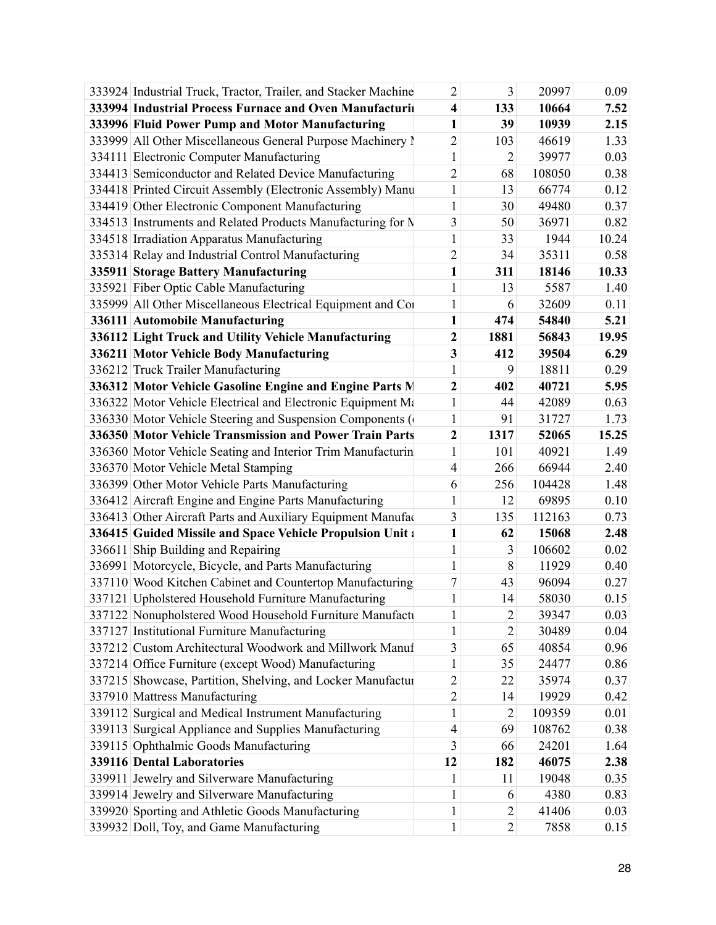| 333924 Industrial Truck, Tractor, Trailer, and Stacker Machine | 2                | 3              | 20997  | 0.09  |
|----------------------------------------------------------------|------------------|----------------|--------|-------|
| 333994 Industrial Process Furnace and Oven Manufacturii        | 4                | 133            | 10664  | 7.52  |
| 333996 Fluid Power Pump and Motor Manufacturing                | $\mathbf{1}$     | 39             | 10939  | 2.15  |
| 333999 All Other Miscellaneous General Purpose Machinery I     | $\overline{c}$   | 103            | 46619  | 1.33  |
| 334111 Electronic Computer Manufacturing                       | 1                | 2              | 39977  | 0.03  |
| 334413 Semiconductor and Related Device Manufacturing          | $\overline{2}$   | 68             | 108050 | 0.38  |
| 334418 Printed Circuit Assembly (Electronic Assembly) Manu     | $\mathbf{1}$     | 13             | 66774  | 0.12  |
| 334419 Other Electronic Component Manufacturing                | 1                | 30             | 49480  | 0.37  |
| 334513 Instruments and Related Products Manufacturing for N    | 3                | 50             | 36971  | 0.82  |
| 334518 Irradiation Apparatus Manufacturing                     | $\mathbf{1}$     | 33             | 1944   | 10.24 |
| 335314 Relay and Industrial Control Manufacturing              | $\overline{c}$   | 34             | 35311  | 0.58  |
| 335911 Storage Battery Manufacturing                           | $\mathbf{1}$     | 311            | 18146  | 10.33 |
| 335921 Fiber Optic Cable Manufacturing                         | 1                | 13             | 5587   | 1.40  |
| 335999 All Other Miscellaneous Electrical Equipment and Co     | 1                | 6              | 32609  | 0.11  |
| 336111 Automobile Manufacturing                                | $\mathbf{1}$     | 474            | 54840  | 5.21  |
| 336112 Light Truck and Utility Vehicle Manufacturing           | 2                | 1881           | 56843  | 19.95 |
| 336211 Motor Vehicle Body Manufacturing                        | 3                | 412            | 39504  | 6.29  |
| 336212 Truck Trailer Manufacturing                             | 1                | 9              | 18811  | 0.29  |
| 336312 Motor Vehicle Gasoline Engine and Engine Parts M        | $\boldsymbol{2}$ | 402            | 40721  | 5.95  |
| 336322 Motor Vehicle Electrical and Electronic Equipment Ma    | $\mathbf{1}$     | 44             | 42089  | 0.63  |
| 336330 Motor Vehicle Steering and Suspension Components (      | $\mathbf{1}$     | 91             | 31727  | 1.73  |
| 336350 Motor Vehicle Transmission and Power Train Parts        | $\boldsymbol{2}$ | 1317           | 52065  | 15.25 |
| 336360 Motor Vehicle Seating and Interior Trim Manufacturin    | $\mathbf{1}$     | 101            | 40921  | 1.49  |
| 336370 Motor Vehicle Metal Stamping                            | 4                | 266            | 66944  | 2.40  |
| 336399 Other Motor Vehicle Parts Manufacturing                 | 6                | 256            | 104428 | 1.48  |
| 336412 Aircraft Engine and Engine Parts Manufacturing          | 1                | 12             | 69895  | 0.10  |
| 336413 Other Aircraft Parts and Auxiliary Equipment Manufac    | 3                | 135            | 112163 | 0.73  |
| 336415 Guided Missile and Space Vehicle Propulsion Unit:       | 1                | 62             | 15068  | 2.48  |
| 336611 Ship Building and Repairing                             | $\mathbf{1}$     | 3              | 106602 | 0.02  |
| 336991 Motorcycle, Bicycle, and Parts Manufacturing            | 1                | 8              | 11929  | 0.40  |
| 337110 Wood Kitchen Cabinet and Countertop Manufacturing       | 7                | 43             | 96094  | 0.27  |
| 337121 Upholstered Household Furniture Manufacturing           | 1                | 14             | 58030  | 0.15  |
| 337122 Nonupholstered Wood Household Furniture Manufacti       | 1                | 2              | 39347  | 0.03  |
| 337127 Institutional Furniture Manufacturing                   | 1                | 2              | 30489  | 0.04  |
| 337212 Custom Architectural Woodwork and Millwork Manuf        | 3                | 65             | 40854  | 0.96  |
| 337214 Office Furniture (except Wood) Manufacturing            | 1                | 35             | 24477  | 0.86  |
| 337215 Showcase, Partition, Shelving, and Locker Manufactur    | 2                | 22             | 35974  | 0.37  |
| 337910 Mattress Manufacturing                                  | $\overline{2}$   | 14             | 19929  | 0.42  |
| 339112 Surgical and Medical Instrument Manufacturing           | 1                | $\overline{2}$ | 109359 | 0.01  |
| 339113 Surgical Appliance and Supplies Manufacturing           | 4                | 69             | 108762 | 0.38  |
| 339115 Ophthalmic Goods Manufacturing                          | 3                | 66             | 24201  | 1.64  |
| <b>339116 Dental Laboratories</b>                              | 12               | 182            | 46075  | 2.38  |
| 339911 Jewelry and Silverware Manufacturing                    | 1                | 11             | 19048  | 0.35  |
| 339914 Jewelry and Silverware Manufacturing                    | 1                | 6              | 4380   | 0.83  |
| 339920 Sporting and Athletic Goods Manufacturing               | 1                | 2              | 41406  | 0.03  |
| 339932 Doll, Toy, and Game Manufacturing                       | $\mathbf{1}$     | $\overline{2}$ | 7858   | 0.15  |
|                                                                |                  |                |        |       |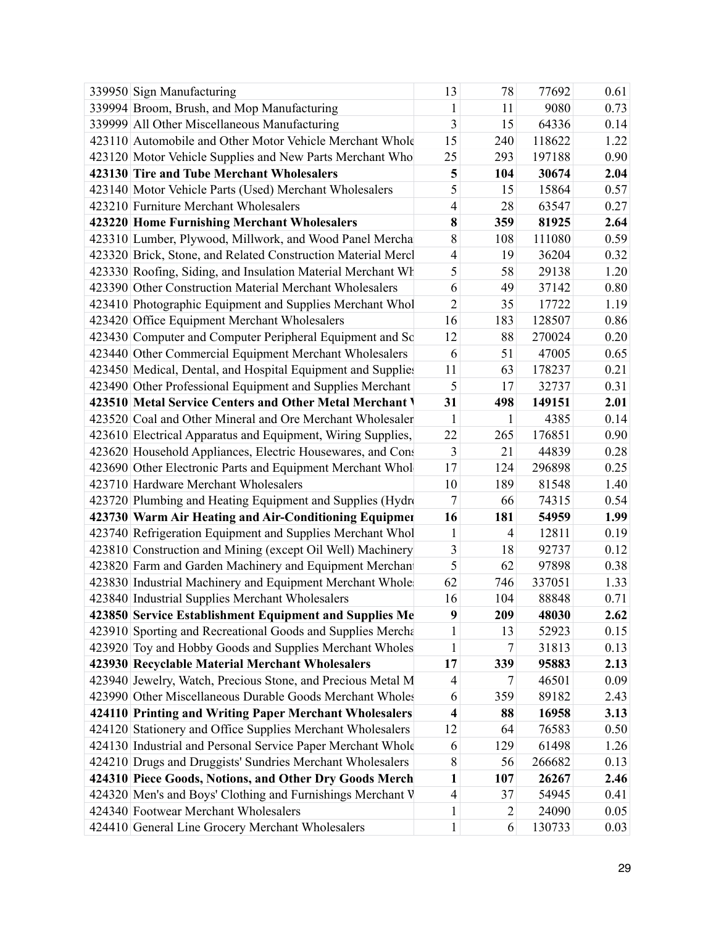| 339950 Sign Manufacturing                                    | 13             | 78             | 77692  | 0.61 |
|--------------------------------------------------------------|----------------|----------------|--------|------|
| 339994 Broom, Brush, and Mop Manufacturing                   | $\mathbf{1}$   | 11             | 9080   | 0.73 |
| 339999 All Other Miscellaneous Manufacturing                 | 3              | 15             | 64336  | 0.14 |
| 423110 Automobile and Other Motor Vehicle Merchant Whole     | 15             | 240            | 118622 | 1.22 |
| 423120 Motor Vehicle Supplies and New Parts Merchant Who     | 25             | 293            | 197188 | 0.90 |
| 423130 Tire and Tube Merchant Wholesalers                    | 5              | 104            | 30674  | 2.04 |
| 423140 Motor Vehicle Parts (Used) Merchant Wholesalers       | 5              | 15             | 15864  | 0.57 |
| 423210 Furniture Merchant Wholesalers                        | $\overline{4}$ | 28             | 63547  | 0.27 |
| 423220 Home Furnishing Merchant Wholesalers                  | 8              | 359            | 81925  | 2.64 |
| 423310 Lumber, Plywood, Millwork, and Wood Panel Mercha      | 8              | 108            | 111080 | 0.59 |
| 423320 Brick, Stone, and Related Construction Material Mercl | $\overline{4}$ | 19             | 36204  | 0.32 |
| 423330 Roofing, Siding, and Insulation Material Merchant Wh  | 5              | 58             | 29138  | 1.20 |
| 423390 Other Construction Material Merchant Wholesalers      | 6              | 49             | 37142  | 0.80 |
| 423410 Photographic Equipment and Supplies Merchant Whol     | $\overline{2}$ | 35             | 17722  | 1.19 |
| 423420 Office Equipment Merchant Wholesalers                 | 16             | 183            | 128507 | 0.86 |
| 423430 Computer and Computer Peripheral Equipment and Sc     | 12             | 88             | 270024 | 0.20 |
| 423440 Other Commercial Equipment Merchant Wholesalers       | 6              | 51             | 47005  | 0.65 |
| 423450 Medical, Dental, and Hospital Equipment and Supplie:  | 11             | 63             | 178237 | 0.21 |
| 423490 Other Professional Equipment and Supplies Merchant    | 5              | 17             | 32737  | 0.31 |
| 423510 Metal Service Centers and Other Metal Merchant \      | 31             | 498            | 149151 | 2.01 |
| 423520 Coal and Other Mineral and Ore Merchant Wholesaler    | $\mathbf{1}$   | $\mathbf{1}$   | 4385   | 0.14 |
| 423610 Electrical Apparatus and Equipment, Wiring Supplies,  | 22             | 265            | 176851 | 0.90 |
| 423620 Household Appliances, Electric Housewares, and Cons   | 3              | 21             | 44839  | 0.28 |
| 423690 Other Electronic Parts and Equipment Merchant Whol    | 17             | 124            | 296898 | 0.25 |
| 423710 Hardware Merchant Wholesalers                         | 10             | 189            | 81548  | 1.40 |
| 423720 Plumbing and Heating Equipment and Supplies (Hydro    | 7              | 66             | 74315  | 0.54 |
| 423730 Warm Air Heating and Air-Conditioning Equipmer        | 16             | 181            | 54959  | 1.99 |
| 423740 Refrigeration Equipment and Supplies Merchant Whol    | $\mathbf{1}$   | $\overline{4}$ | 12811  | 0.19 |
| 423810 Construction and Mining (except Oil Well) Machinery   | 3              | 18             | 92737  | 0.12 |
| 423820 Farm and Garden Machinery and Equipment Merchan       | 5              | 62             | 97898  | 0.38 |
| 423830 Industrial Machinery and Equipment Merchant Whole     | 62             | 746            | 337051 | 1.33 |
| 423840 Industrial Supplies Merchant Wholesalers              | 16             | 104            | 88848  | 0.71 |
| 423850 Service Establishment Equipment and Supplies Me       | 9              | 209            | 48030  | 2.62 |
| 423910 Sporting and Recreational Goods and Supplies Mercha   | 1              | 13             | 52923  | 0.15 |
| 423920 Toy and Hobby Goods and Supplies Merchant Wholes      | $\mathbf{1}$   | 7              | 31813  | 0.13 |
| 423930 Recyclable Material Merchant Wholesalers              | 17             | 339            | 95883  | 2.13 |
| 423940 Jewelry, Watch, Precious Stone, and Precious Metal M  | 4              | 7              | 46501  | 0.09 |
| 423990 Other Miscellaneous Durable Goods Merchant Wholes     | 6              | 359            | 89182  | 2.43 |
| 424110 Printing and Writing Paper Merchant Wholesalers       | 4              | 88             | 16958  | 3.13 |
| 424120 Stationery and Office Supplies Merchant Wholesalers   | 12             | 64             | 76583  | 0.50 |
| 424130 Industrial and Personal Service Paper Merchant Whole  | 6              | 129            | 61498  | 1.26 |
| 424210 Drugs and Druggists' Sundries Merchant Wholesalers    | $8\,$          | 56             | 266682 | 0.13 |
| 424310 Piece Goods, Notions, and Other Dry Goods Merch       | 1              | 107            | 26267  | 2.46 |
| 424320 Men's and Boys' Clothing and Furnishings Merchant V   | 4              | 37             | 54945  | 0.41 |
| 424340 Footwear Merchant Wholesalers                         | $\mathbf{1}$   | $\overline{2}$ | 24090  | 0.05 |
| 424410 General Line Grocery Merchant Wholesalers             | $\mathbf{1}$   | 6              | 130733 | 0.03 |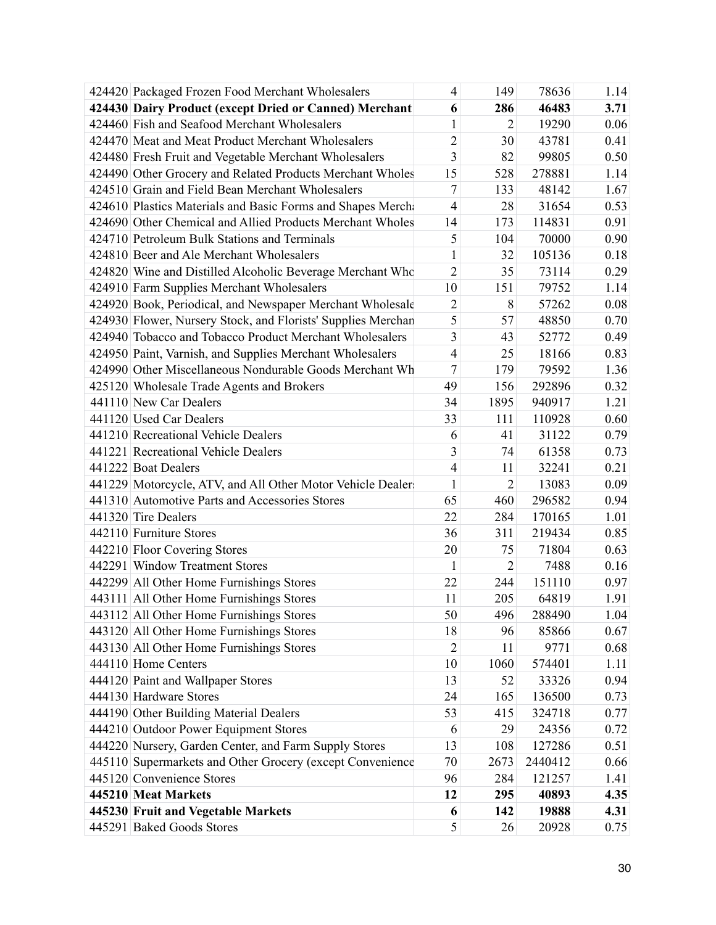| 424420 Packaged Frozen Food Merchant Wholesalers             | $\overline{4}$ | 149            | 78636   | 1.14 |
|--------------------------------------------------------------|----------------|----------------|---------|------|
| 424430 Dairy Product (except Dried or Canned) Merchant       | 6              | 286            | 46483   | 3.71 |
| 424460 Fish and Seafood Merchant Wholesalers                 | $\mathbf{1}$   | $\overline{2}$ | 19290   | 0.06 |
| 424470 Meat and Meat Product Merchant Wholesalers            | $\overline{2}$ | 30             | 43781   | 0.41 |
| 424480 Fresh Fruit and Vegetable Merchant Wholesalers        | 3              | 82             | 99805   | 0.50 |
| 424490 Other Grocery and Related Products Merchant Wholes    | 15             | 528            | 278881  | 1.14 |
| 424510 Grain and Field Bean Merchant Wholesalers             | $\tau$         | 133            | 48142   | 1.67 |
| 424610 Plastics Materials and Basic Forms and Shapes Merch.  | $\overline{4}$ | 28             | 31654   | 0.53 |
| 424690 Other Chemical and Allied Products Merchant Wholes    | 14             | 173            | 114831  | 0.91 |
| 424710 Petroleum Bulk Stations and Terminals                 | 5              | 104            | 70000   | 0.90 |
| 424810 Beer and Ale Merchant Wholesalers                     | 1              | 32             | 105136  | 0.18 |
| 424820 Wine and Distilled Alcoholic Beverage Merchant Who    | $\overline{2}$ | 35             | 73114   | 0.29 |
| 424910 Farm Supplies Merchant Wholesalers                    | 10             | 151            | 79752   | 1.14 |
| 424920 Book, Periodical, and Newspaper Merchant Wholesale    | $\overline{2}$ | 8              | 57262   | 0.08 |
| 424930 Flower, Nursery Stock, and Florists' Supplies Merchan | 5              | 57             | 48850   | 0.70 |
| 424940 Tobacco and Tobacco Product Merchant Wholesalers      | $\overline{3}$ | 43             | 52772   | 0.49 |
| 424950 Paint, Varnish, and Supplies Merchant Wholesalers     | $\overline{4}$ | 25             | 18166   | 0.83 |
| 424990 Other Miscellaneous Nondurable Goods Merchant Wh      | $\tau$         | 179            | 79592   | 1.36 |
| 425120 Wholesale Trade Agents and Brokers                    | 49             | 156            | 292896  | 0.32 |
| 441110 New Car Dealers                                       | 34             | 1895           | 940917  | 1.21 |
| 441120 Used Car Dealers                                      | 33             | 111            | 110928  | 0.60 |
| 441210 Recreational Vehicle Dealers                          | 6              | 41             | 31122   | 0.79 |
| 441221 Recreational Vehicle Dealers                          | $\mathfrak{Z}$ | 74             | 61358   | 0.73 |
| 441222 Boat Dealers                                          | $\overline{4}$ | 11             | 32241   | 0.21 |
| 441229 Motorcycle, ATV, and All Other Motor Vehicle Dealer   | $\mathbf{1}$   | $\overline{2}$ | 13083   | 0.09 |
| 441310 Automotive Parts and Accessories Stores               | 65             | 460            | 296582  | 0.94 |
| 441320 Tire Dealers                                          | 22             | 284            | 170165  | 1.01 |
| 442110 Furniture Stores                                      | 36             | 311            | 219434  | 0.85 |
| 442210 Floor Covering Stores                                 | 20             | 75             | 71804   | 0.63 |
| 442291 Window Treatment Stores                               | $\mathbf{1}$   | $\overline{2}$ | 7488    | 0.16 |
| 442299 All Other Home Furnishings Stores                     | 22             | 244            | 151110  | 0.97 |
| 443111 All Other Home Furnishings Stores                     | 11             | 205            | 64819   | 1.91 |
| 443112 All Other Home Furnishings Stores                     | 50             | 496            | 288490  | 1.04 |
| 443120 All Other Home Furnishings Stores                     | 18             | 96             | 85866   | 0.67 |
| 443130 All Other Home Furnishings Stores                     | $\overline{2}$ | 11             | 9771    | 0.68 |
| 444110 Home Centers                                          | 10             | 1060           | 574401  | 1.11 |
| 444120 Paint and Wallpaper Stores                            | 13             | 52             | 33326   | 0.94 |
| 444130 Hardware Stores                                       | 24             | 165            | 136500  | 0.73 |
| 444190 Other Building Material Dealers                       | 53             | 415            | 324718  | 0.77 |
| 444210 Outdoor Power Equipment Stores                        | 6              | 29             | 24356   | 0.72 |
| 444220 Nursery, Garden Center, and Farm Supply Stores        | 13             | 108            | 127286  | 0.51 |
| 445110 Supermarkets and Other Grocery (except Convenience    | 70             | 2673           | 2440412 | 0.66 |
| 445120 Convenience Stores                                    | 96             | 284            | 121257  | 1.41 |
| 445210 Meat Markets                                          | 12             | 295            | 40893   | 4.35 |
| 445230 Fruit and Vegetable Markets                           | 6              | 142            | 19888   | 4.31 |
| 445291 Baked Goods Stores                                    | 5              | 26             | 20928   | 0.75 |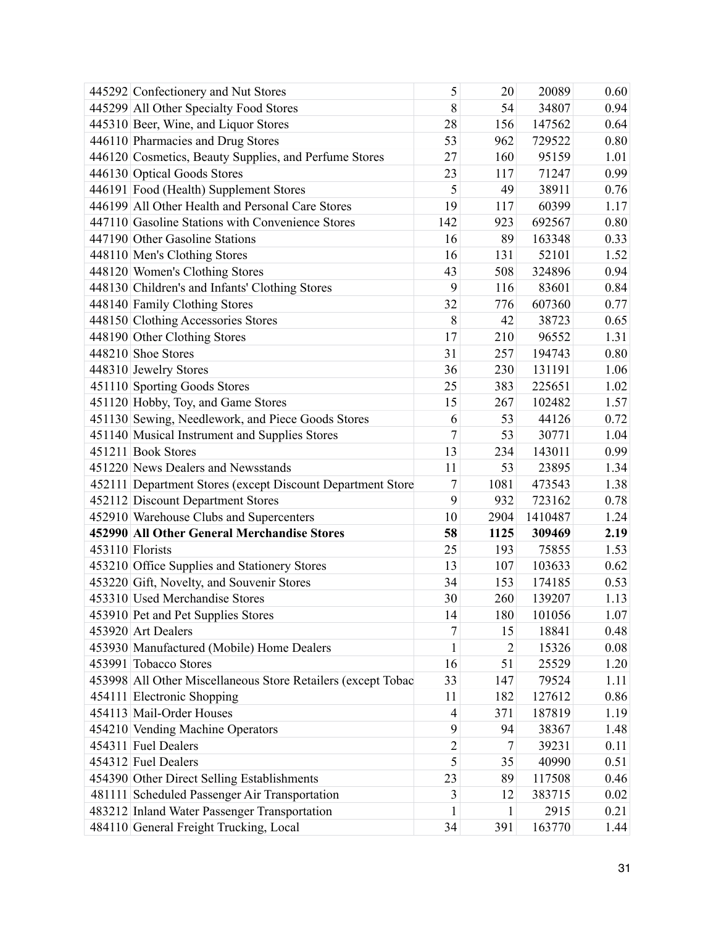| 445299 All Other Specialty Food Stores<br>8<br>34807<br>0.94<br>54<br>445310 Beer, Wine, and Liquor Stores<br>28<br>156<br>147562<br>0.64<br>446110 Pharmacies and Drug Stores<br>53<br>729522<br>0.80<br>962<br>446120 Cosmetics, Beauty Supplies, and Perfume Stores<br>27<br>160<br>95159<br>1.01<br>446130 Optical Goods Stores<br>71247<br>0.99<br>23<br>117<br>5<br>446191 Food (Health) Supplement Stores<br>49<br>38911<br>0.76<br>446199 All Other Health and Personal Care Stores<br>19<br>117<br>60399<br>1.17<br>447110 Gasoline Stations with Convenience Stores<br>142<br>923<br>692567<br>0.80<br>447190 Other Gasoline Stations<br>16<br>89<br>163348<br>0.33<br>448110 Men's Clothing Stores<br>16<br>131<br>52101<br>1.52<br>448120 Women's Clothing Stores<br>43<br>508<br>324896<br>0.94<br>9<br>116<br>448130 Children's and Infants' Clothing Stores<br>83601<br>0.84<br>448140 Family Clothing Stores<br>32<br>776<br>607360<br>0.77<br>$\,$ $\,$<br>42<br>0.65<br>448150 Clothing Accessories Stores<br>38723<br>448190 Other Clothing Stores<br>17<br>210<br>96552<br>1.31<br>448210 Shoe Stores<br>31<br>257<br>194743<br>0.80<br>36<br>230<br>448310 Jewelry Stores<br>131191<br>1.06<br>451110 Sporting Goods Stores<br>383<br>225651<br>25<br>1.02<br>451120 Hobby, Toy, and Game Stores<br>267<br>102482<br>1.57<br>15<br>451130 Sewing, Needlework, and Piece Goods Stores<br>6<br>44126<br>0.72<br>53<br>$\overline{7}$<br>451140 Musical Instrument and Supplies Stores<br>53<br>30771<br>1.04<br>451211 Book Stores<br>13<br>234<br>143011<br>0.99<br>451220 News Dealers and Newsstands<br>11<br>1.34<br>53<br>23895<br>$\tau$<br>1081<br>1.38<br>452111 Department Stores (except Discount Department Store<br>473543 |  |
|-----------------------------------------------------------------------------------------------------------------------------------------------------------------------------------------------------------------------------------------------------------------------------------------------------------------------------------------------------------------------------------------------------------------------------------------------------------------------------------------------------------------------------------------------------------------------------------------------------------------------------------------------------------------------------------------------------------------------------------------------------------------------------------------------------------------------------------------------------------------------------------------------------------------------------------------------------------------------------------------------------------------------------------------------------------------------------------------------------------------------------------------------------------------------------------------------------------------------------------------------------------------------------------------------------------------------------------------------------------------------------------------------------------------------------------------------------------------------------------------------------------------------------------------------------------------------------------------------------------------------------------------------------------------------------------------------------------------------------------------------------------|--|
|                                                                                                                                                                                                                                                                                                                                                                                                                                                                                                                                                                                                                                                                                                                                                                                                                                                                                                                                                                                                                                                                                                                                                                                                                                                                                                                                                                                                                                                                                                                                                                                                                                                                                                                                                           |  |
|                                                                                                                                                                                                                                                                                                                                                                                                                                                                                                                                                                                                                                                                                                                                                                                                                                                                                                                                                                                                                                                                                                                                                                                                                                                                                                                                                                                                                                                                                                                                                                                                                                                                                                                                                           |  |
|                                                                                                                                                                                                                                                                                                                                                                                                                                                                                                                                                                                                                                                                                                                                                                                                                                                                                                                                                                                                                                                                                                                                                                                                                                                                                                                                                                                                                                                                                                                                                                                                                                                                                                                                                           |  |
|                                                                                                                                                                                                                                                                                                                                                                                                                                                                                                                                                                                                                                                                                                                                                                                                                                                                                                                                                                                                                                                                                                                                                                                                                                                                                                                                                                                                                                                                                                                                                                                                                                                                                                                                                           |  |
|                                                                                                                                                                                                                                                                                                                                                                                                                                                                                                                                                                                                                                                                                                                                                                                                                                                                                                                                                                                                                                                                                                                                                                                                                                                                                                                                                                                                                                                                                                                                                                                                                                                                                                                                                           |  |
|                                                                                                                                                                                                                                                                                                                                                                                                                                                                                                                                                                                                                                                                                                                                                                                                                                                                                                                                                                                                                                                                                                                                                                                                                                                                                                                                                                                                                                                                                                                                                                                                                                                                                                                                                           |  |
|                                                                                                                                                                                                                                                                                                                                                                                                                                                                                                                                                                                                                                                                                                                                                                                                                                                                                                                                                                                                                                                                                                                                                                                                                                                                                                                                                                                                                                                                                                                                                                                                                                                                                                                                                           |  |
|                                                                                                                                                                                                                                                                                                                                                                                                                                                                                                                                                                                                                                                                                                                                                                                                                                                                                                                                                                                                                                                                                                                                                                                                                                                                                                                                                                                                                                                                                                                                                                                                                                                                                                                                                           |  |
|                                                                                                                                                                                                                                                                                                                                                                                                                                                                                                                                                                                                                                                                                                                                                                                                                                                                                                                                                                                                                                                                                                                                                                                                                                                                                                                                                                                                                                                                                                                                                                                                                                                                                                                                                           |  |
|                                                                                                                                                                                                                                                                                                                                                                                                                                                                                                                                                                                                                                                                                                                                                                                                                                                                                                                                                                                                                                                                                                                                                                                                                                                                                                                                                                                                                                                                                                                                                                                                                                                                                                                                                           |  |
|                                                                                                                                                                                                                                                                                                                                                                                                                                                                                                                                                                                                                                                                                                                                                                                                                                                                                                                                                                                                                                                                                                                                                                                                                                                                                                                                                                                                                                                                                                                                                                                                                                                                                                                                                           |  |
|                                                                                                                                                                                                                                                                                                                                                                                                                                                                                                                                                                                                                                                                                                                                                                                                                                                                                                                                                                                                                                                                                                                                                                                                                                                                                                                                                                                                                                                                                                                                                                                                                                                                                                                                                           |  |
|                                                                                                                                                                                                                                                                                                                                                                                                                                                                                                                                                                                                                                                                                                                                                                                                                                                                                                                                                                                                                                                                                                                                                                                                                                                                                                                                                                                                                                                                                                                                                                                                                                                                                                                                                           |  |
|                                                                                                                                                                                                                                                                                                                                                                                                                                                                                                                                                                                                                                                                                                                                                                                                                                                                                                                                                                                                                                                                                                                                                                                                                                                                                                                                                                                                                                                                                                                                                                                                                                                                                                                                                           |  |
|                                                                                                                                                                                                                                                                                                                                                                                                                                                                                                                                                                                                                                                                                                                                                                                                                                                                                                                                                                                                                                                                                                                                                                                                                                                                                                                                                                                                                                                                                                                                                                                                                                                                                                                                                           |  |
|                                                                                                                                                                                                                                                                                                                                                                                                                                                                                                                                                                                                                                                                                                                                                                                                                                                                                                                                                                                                                                                                                                                                                                                                                                                                                                                                                                                                                                                                                                                                                                                                                                                                                                                                                           |  |
|                                                                                                                                                                                                                                                                                                                                                                                                                                                                                                                                                                                                                                                                                                                                                                                                                                                                                                                                                                                                                                                                                                                                                                                                                                                                                                                                                                                                                                                                                                                                                                                                                                                                                                                                                           |  |
|                                                                                                                                                                                                                                                                                                                                                                                                                                                                                                                                                                                                                                                                                                                                                                                                                                                                                                                                                                                                                                                                                                                                                                                                                                                                                                                                                                                                                                                                                                                                                                                                                                                                                                                                                           |  |
|                                                                                                                                                                                                                                                                                                                                                                                                                                                                                                                                                                                                                                                                                                                                                                                                                                                                                                                                                                                                                                                                                                                                                                                                                                                                                                                                                                                                                                                                                                                                                                                                                                                                                                                                                           |  |
|                                                                                                                                                                                                                                                                                                                                                                                                                                                                                                                                                                                                                                                                                                                                                                                                                                                                                                                                                                                                                                                                                                                                                                                                                                                                                                                                                                                                                                                                                                                                                                                                                                                                                                                                                           |  |
|                                                                                                                                                                                                                                                                                                                                                                                                                                                                                                                                                                                                                                                                                                                                                                                                                                                                                                                                                                                                                                                                                                                                                                                                                                                                                                                                                                                                                                                                                                                                                                                                                                                                                                                                                           |  |
|                                                                                                                                                                                                                                                                                                                                                                                                                                                                                                                                                                                                                                                                                                                                                                                                                                                                                                                                                                                                                                                                                                                                                                                                                                                                                                                                                                                                                                                                                                                                                                                                                                                                                                                                                           |  |
|                                                                                                                                                                                                                                                                                                                                                                                                                                                                                                                                                                                                                                                                                                                                                                                                                                                                                                                                                                                                                                                                                                                                                                                                                                                                                                                                                                                                                                                                                                                                                                                                                                                                                                                                                           |  |
|                                                                                                                                                                                                                                                                                                                                                                                                                                                                                                                                                                                                                                                                                                                                                                                                                                                                                                                                                                                                                                                                                                                                                                                                                                                                                                                                                                                                                                                                                                                                                                                                                                                                                                                                                           |  |
| 452112 Discount Department Stores<br>9<br>932<br>723162<br>0.78                                                                                                                                                                                                                                                                                                                                                                                                                                                                                                                                                                                                                                                                                                                                                                                                                                                                                                                                                                                                                                                                                                                                                                                                                                                                                                                                                                                                                                                                                                                                                                                                                                                                                           |  |
| 452910 Warehouse Clubs and Supercenters<br>10<br>2904<br>1410487<br>1.24                                                                                                                                                                                                                                                                                                                                                                                                                                                                                                                                                                                                                                                                                                                                                                                                                                                                                                                                                                                                                                                                                                                                                                                                                                                                                                                                                                                                                                                                                                                                                                                                                                                                                  |  |
| 452990 All Other General Merchandise Stores<br>58<br>1125<br>309469<br>2.19                                                                                                                                                                                                                                                                                                                                                                                                                                                                                                                                                                                                                                                                                                                                                                                                                                                                                                                                                                                                                                                                                                                                                                                                                                                                                                                                                                                                                                                                                                                                                                                                                                                                               |  |
| 453110 Florists<br>25<br>193<br>75855<br>1.53                                                                                                                                                                                                                                                                                                                                                                                                                                                                                                                                                                                                                                                                                                                                                                                                                                                                                                                                                                                                                                                                                                                                                                                                                                                                                                                                                                                                                                                                                                                                                                                                                                                                                                             |  |
| 453210 Office Supplies and Stationery Stores<br>13<br>107<br>103633<br>0.62                                                                                                                                                                                                                                                                                                                                                                                                                                                                                                                                                                                                                                                                                                                                                                                                                                                                                                                                                                                                                                                                                                                                                                                                                                                                                                                                                                                                                                                                                                                                                                                                                                                                               |  |
| 453220 Gift, Novelty, and Souvenir Stores<br>153<br>34<br>174185<br>0.53                                                                                                                                                                                                                                                                                                                                                                                                                                                                                                                                                                                                                                                                                                                                                                                                                                                                                                                                                                                                                                                                                                                                                                                                                                                                                                                                                                                                                                                                                                                                                                                                                                                                                  |  |
| 453310 Used Merchandise Stores<br>30<br>260<br>139207<br>1.13                                                                                                                                                                                                                                                                                                                                                                                                                                                                                                                                                                                                                                                                                                                                                                                                                                                                                                                                                                                                                                                                                                                                                                                                                                                                                                                                                                                                                                                                                                                                                                                                                                                                                             |  |
| 180<br>453910 Pet and Pet Supplies Stores<br>14<br>101056<br>1.07                                                                                                                                                                                                                                                                                                                                                                                                                                                                                                                                                                                                                                                                                                                                                                                                                                                                                                                                                                                                                                                                                                                                                                                                                                                                                                                                                                                                                                                                                                                                                                                                                                                                                         |  |
| $\overline{7}$<br>453920 Art Dealers<br>18841<br>15<br>0.48                                                                                                                                                                                                                                                                                                                                                                                                                                                                                                                                                                                                                                                                                                                                                                                                                                                                                                                                                                                                                                                                                                                                                                                                                                                                                                                                                                                                                                                                                                                                                                                                                                                                                               |  |
| 453930 Manufactured (Mobile) Home Dealers<br>15326<br>0.08<br>$\mathbf{1}$<br>2                                                                                                                                                                                                                                                                                                                                                                                                                                                                                                                                                                                                                                                                                                                                                                                                                                                                                                                                                                                                                                                                                                                                                                                                                                                                                                                                                                                                                                                                                                                                                                                                                                                                           |  |
| 453991 Tobacco Stores<br>16<br>51<br>25529<br>1.20                                                                                                                                                                                                                                                                                                                                                                                                                                                                                                                                                                                                                                                                                                                                                                                                                                                                                                                                                                                                                                                                                                                                                                                                                                                                                                                                                                                                                                                                                                                                                                                                                                                                                                        |  |
| 453998 All Other Miscellaneous Store Retailers (except Tobac<br>33<br>147<br>79524<br>1.11                                                                                                                                                                                                                                                                                                                                                                                                                                                                                                                                                                                                                                                                                                                                                                                                                                                                                                                                                                                                                                                                                                                                                                                                                                                                                                                                                                                                                                                                                                                                                                                                                                                                |  |
| 454111 Electronic Shopping<br>11<br>182<br>127612<br>0.86                                                                                                                                                                                                                                                                                                                                                                                                                                                                                                                                                                                                                                                                                                                                                                                                                                                                                                                                                                                                                                                                                                                                                                                                                                                                                                                                                                                                                                                                                                                                                                                                                                                                                                 |  |
| 454113 Mail-Order Houses<br>371<br>187819<br>4<br>1.19                                                                                                                                                                                                                                                                                                                                                                                                                                                                                                                                                                                                                                                                                                                                                                                                                                                                                                                                                                                                                                                                                                                                                                                                                                                                                                                                                                                                                                                                                                                                                                                                                                                                                                    |  |
| 9<br>454210 Vending Machine Operators<br>94<br>38367<br>1.48                                                                                                                                                                                                                                                                                                                                                                                                                                                                                                                                                                                                                                                                                                                                                                                                                                                                                                                                                                                                                                                                                                                                                                                                                                                                                                                                                                                                                                                                                                                                                                                                                                                                                              |  |
| 454311 Fuel Dealers<br>$\overline{c}$<br>39231<br>0.11<br>7                                                                                                                                                                                                                                                                                                                                                                                                                                                                                                                                                                                                                                                                                                                                                                                                                                                                                                                                                                                                                                                                                                                                                                                                                                                                                                                                                                                                                                                                                                                                                                                                                                                                                               |  |
| 5<br>454312 Fuel Dealers<br>35<br>40990<br>0.51                                                                                                                                                                                                                                                                                                                                                                                                                                                                                                                                                                                                                                                                                                                                                                                                                                                                                                                                                                                                                                                                                                                                                                                                                                                                                                                                                                                                                                                                                                                                                                                                                                                                                                           |  |
| 454390 Other Direct Selling Establishments<br>23<br>0.46<br>89<br>117508                                                                                                                                                                                                                                                                                                                                                                                                                                                                                                                                                                                                                                                                                                                                                                                                                                                                                                                                                                                                                                                                                                                                                                                                                                                                                                                                                                                                                                                                                                                                                                                                                                                                                  |  |
| 481111 Scheduled Passenger Air Transportation<br>3<br>383715<br>0.02<br>12                                                                                                                                                                                                                                                                                                                                                                                                                                                                                                                                                                                                                                                                                                                                                                                                                                                                                                                                                                                                                                                                                                                                                                                                                                                                                                                                                                                                                                                                                                                                                                                                                                                                                |  |
| 483212 Inland Water Passenger Transportation<br>2915<br>0.21<br>1<br>1                                                                                                                                                                                                                                                                                                                                                                                                                                                                                                                                                                                                                                                                                                                                                                                                                                                                                                                                                                                                                                                                                                                                                                                                                                                                                                                                                                                                                                                                                                                                                                                                                                                                                    |  |
| 484110 General Freight Trucking, Local<br>34<br>163770<br>1.44<br>391                                                                                                                                                                                                                                                                                                                                                                                                                                                                                                                                                                                                                                                                                                                                                                                                                                                                                                                                                                                                                                                                                                                                                                                                                                                                                                                                                                                                                                                                                                                                                                                                                                                                                     |  |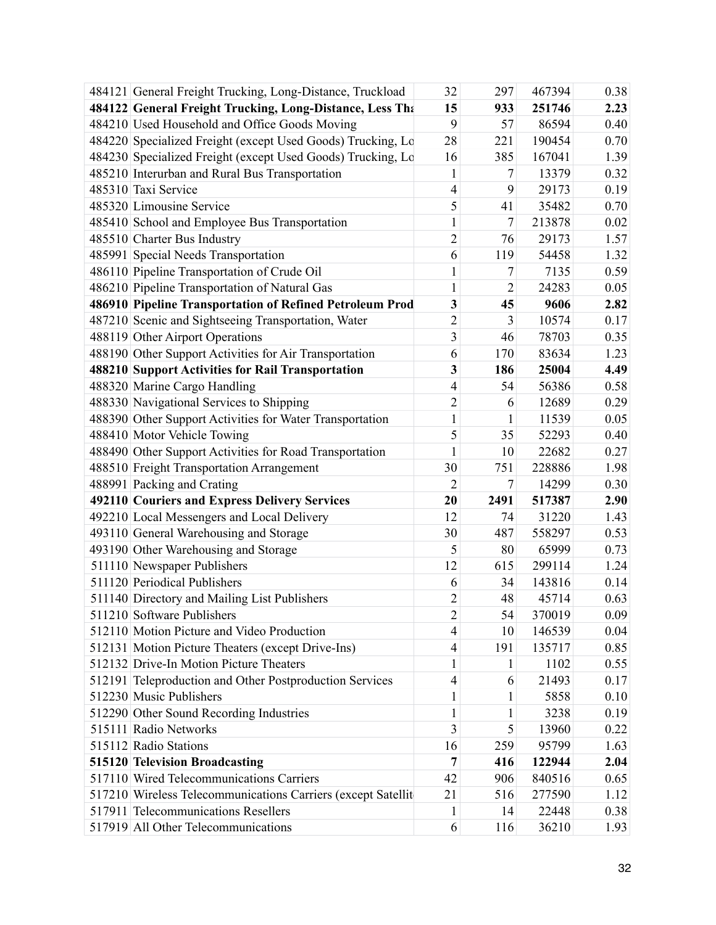| 484122 General Freight Trucking, Long-Distance, Less Tha<br>15<br>933<br>251746<br>2.23<br>484210 Used Household and Office Goods Moving<br>9<br>57<br>86594<br>0.40<br>484220 Specialized Freight (except Used Goods) Trucking, Lo<br>28<br>221<br>190454<br>0.70<br>484230 Specialized Freight (except Used Goods) Trucking, Lo<br>385<br>167041<br>1.39<br>16<br>485210 Interurban and Rural Bus Transportation<br>13379<br>0.32<br>$\mathbf{1}$<br>7<br>485310 Taxi Service<br>4<br>9<br>29173<br>0.19<br>5<br>485320 Limousine Service<br>35482<br>0.70<br>41<br>7<br>485410 School and Employee Bus Transportation<br>$\mathbf{1}$<br>213878<br>0.02<br>$\overline{c}$<br>485510 Charter Bus Industry<br>29173<br>76<br>1.57<br>485991 Special Needs Transportation<br>54458<br>1.32<br>6<br>119<br>486110 Pipeline Transportation of Crude Oil<br>$\mathbf{1}$<br>7<br>7135<br>0.59<br>486210 Pipeline Transportation of Natural Gas<br>$\mathbf{1}$<br>$\overline{2}$<br>24283<br>0.05<br>486910 Pipeline Transportation of Refined Petroleum Prod<br>3<br>9606<br>2.82<br>45<br>$\overline{c}$<br>3<br>10574<br>487210 Scenic and Sightseeing Transportation, Water<br>0.17<br>3<br>488119 Other Airport Operations<br>78703<br>0.35<br>46<br>488190 Other Support Activities for Air Transportation<br>170<br>83634<br>1.23<br>6<br>3<br>488210 Support Activities for Rail Transportation<br>186<br>25004<br>4.49<br>488320 Marine Cargo Handling<br>$\overline{4}$<br>54<br>56386<br>0.58<br>488330 Navigational Services to Shipping<br>$\overline{2}$<br>12689<br>0.29<br>6<br>488390 Other Support Activities for Water Transportation<br>$\mathbf{1}$<br>11539<br>0.05<br>1<br>5<br>488410 Motor Vehicle Towing<br>35<br>52293<br>0.40<br>488490 Other Support Activities for Road Transportation<br>0.27<br>$\mathbf{1}$<br>10<br>22682<br>488510 Freight Transportation Arrangement<br>30<br>751<br>228886<br>1.98<br>488991 Packing and Crating<br>$\overline{2}$<br>14299<br>7<br>0.30<br>492110 Couriers and Express Delivery Services<br>20<br>2491<br>517387<br>2.90<br>492210 Local Messengers and Local Delivery<br>12<br>31220<br>1.43<br>74<br>493110 General Warehousing and Storage<br>558297<br>30<br>487<br>0.53<br>5<br>0.73<br>493190 Other Warehousing and Storage<br>80<br>65999<br>511110 Newspaper Publishers<br>12<br>615<br>299114<br>1.24<br>511120 Periodical Publishers<br>143816<br>6<br>34<br>0.14<br>$\overline{2}$<br>511140 Directory and Mailing List Publishers<br>48<br>45714<br>0.63<br>511210 Software Publishers<br>$\overline{c}$<br>54<br>370019<br>0.09<br>512110 Motion Picture and Video Production<br>146539<br>4<br>10<br>0.04<br>512131 Motion Picture Theaters (except Drive-Ins)<br>4<br>191<br>135717<br>0.85<br>512132 Drive-In Motion Picture Theaters<br>0.55<br>$\mathbf{1}$<br>1102<br>1<br>512191 Teleproduction and Other Postproduction Services<br>$\overline{4}$<br>21493<br>0.17<br>6<br>512230 Music Publishers<br>5858<br>0.10<br>$\mathbf{1}$<br>1<br>512290 Other Sound Recording Industries<br>$\mathbf{1}$<br>1<br>3238<br>0.19<br>3<br>515111 Radio Networks<br>5<br>13960<br>0.22<br>515112 Radio Stations<br>95799<br>16<br>259<br>1.63<br>515120 Television Broadcasting<br>416<br>122944<br>2.04<br>7<br>517110 Wired Telecommunications Carriers<br>42<br>906<br>840516<br>0.65<br>517210 Wireless Telecommunications Carriers (except Satellit<br>21<br>516<br>277590<br>1.12<br>517911 Telecommunications Resellers<br>22448<br>14<br>0.38<br>1<br>517919 All Other Telecommunications<br>36210<br>6<br>116<br>1.93 | 484121 General Freight Trucking, Long-Distance, Truckload | 32 | 297 | 467394 | 0.38 |
|--------------------------------------------------------------------------------------------------------------------------------------------------------------------------------------------------------------------------------------------------------------------------------------------------------------------------------------------------------------------------------------------------------------------------------------------------------------------------------------------------------------------------------------------------------------------------------------------------------------------------------------------------------------------------------------------------------------------------------------------------------------------------------------------------------------------------------------------------------------------------------------------------------------------------------------------------------------------------------------------------------------------------------------------------------------------------------------------------------------------------------------------------------------------------------------------------------------------------------------------------------------------------------------------------------------------------------------------------------------------------------------------------------------------------------------------------------------------------------------------------------------------------------------------------------------------------------------------------------------------------------------------------------------------------------------------------------------------------------------------------------------------------------------------------------------------------------------------------------------------------------------------------------------------------------------------------------------------------------------------------------------------------------------------------------------------------------------------------------------------------------------------------------------------------------------------------------------------------------------------------------------------------------------------------------------------------------------------------------------------------------------------------------------------------------------------------------------------------------------------------------------------------------------------------------------------------------------------------------------------------------------------------------------------------------------------------------------------------------------------------------------------------------------------------------------------------------------------------------------------------------------------------------------------------------------------------------------------------------------------------------------------------------------------------------------------------------------------------------------------------------------------------------------------------------------------------------------------------------------------------------------------------------------------------------------------------------------------------------------------------------------------------------------------------------------------------------------------------------------------------------------------------------------------------------------------------------------------------------------|-----------------------------------------------------------|----|-----|--------|------|
|                                                                                                                                                                                                                                                                                                                                                                                                                                                                                                                                                                                                                                                                                                                                                                                                                                                                                                                                                                                                                                                                                                                                                                                                                                                                                                                                                                                                                                                                                                                                                                                                                                                                                                                                                                                                                                                                                                                                                                                                                                                                                                                                                                                                                                                                                                                                                                                                                                                                                                                                                                                                                                                                                                                                                                                                                                                                                                                                                                                                                                                                                                                                                                                                                                                                                                                                                                                                                                                                                                                                                                                                              |                                                           |    |     |        |      |
|                                                                                                                                                                                                                                                                                                                                                                                                                                                                                                                                                                                                                                                                                                                                                                                                                                                                                                                                                                                                                                                                                                                                                                                                                                                                                                                                                                                                                                                                                                                                                                                                                                                                                                                                                                                                                                                                                                                                                                                                                                                                                                                                                                                                                                                                                                                                                                                                                                                                                                                                                                                                                                                                                                                                                                                                                                                                                                                                                                                                                                                                                                                                                                                                                                                                                                                                                                                                                                                                                                                                                                                                              |                                                           |    |     |        |      |
|                                                                                                                                                                                                                                                                                                                                                                                                                                                                                                                                                                                                                                                                                                                                                                                                                                                                                                                                                                                                                                                                                                                                                                                                                                                                                                                                                                                                                                                                                                                                                                                                                                                                                                                                                                                                                                                                                                                                                                                                                                                                                                                                                                                                                                                                                                                                                                                                                                                                                                                                                                                                                                                                                                                                                                                                                                                                                                                                                                                                                                                                                                                                                                                                                                                                                                                                                                                                                                                                                                                                                                                                              |                                                           |    |     |        |      |
|                                                                                                                                                                                                                                                                                                                                                                                                                                                                                                                                                                                                                                                                                                                                                                                                                                                                                                                                                                                                                                                                                                                                                                                                                                                                                                                                                                                                                                                                                                                                                                                                                                                                                                                                                                                                                                                                                                                                                                                                                                                                                                                                                                                                                                                                                                                                                                                                                                                                                                                                                                                                                                                                                                                                                                                                                                                                                                                                                                                                                                                                                                                                                                                                                                                                                                                                                                                                                                                                                                                                                                                                              |                                                           |    |     |        |      |
|                                                                                                                                                                                                                                                                                                                                                                                                                                                                                                                                                                                                                                                                                                                                                                                                                                                                                                                                                                                                                                                                                                                                                                                                                                                                                                                                                                                                                                                                                                                                                                                                                                                                                                                                                                                                                                                                                                                                                                                                                                                                                                                                                                                                                                                                                                                                                                                                                                                                                                                                                                                                                                                                                                                                                                                                                                                                                                                                                                                                                                                                                                                                                                                                                                                                                                                                                                                                                                                                                                                                                                                                              |                                                           |    |     |        |      |
|                                                                                                                                                                                                                                                                                                                                                                                                                                                                                                                                                                                                                                                                                                                                                                                                                                                                                                                                                                                                                                                                                                                                                                                                                                                                                                                                                                                                                                                                                                                                                                                                                                                                                                                                                                                                                                                                                                                                                                                                                                                                                                                                                                                                                                                                                                                                                                                                                                                                                                                                                                                                                                                                                                                                                                                                                                                                                                                                                                                                                                                                                                                                                                                                                                                                                                                                                                                                                                                                                                                                                                                                              |                                                           |    |     |        |      |
|                                                                                                                                                                                                                                                                                                                                                                                                                                                                                                                                                                                                                                                                                                                                                                                                                                                                                                                                                                                                                                                                                                                                                                                                                                                                                                                                                                                                                                                                                                                                                                                                                                                                                                                                                                                                                                                                                                                                                                                                                                                                                                                                                                                                                                                                                                                                                                                                                                                                                                                                                                                                                                                                                                                                                                                                                                                                                                                                                                                                                                                                                                                                                                                                                                                                                                                                                                                                                                                                                                                                                                                                              |                                                           |    |     |        |      |
|                                                                                                                                                                                                                                                                                                                                                                                                                                                                                                                                                                                                                                                                                                                                                                                                                                                                                                                                                                                                                                                                                                                                                                                                                                                                                                                                                                                                                                                                                                                                                                                                                                                                                                                                                                                                                                                                                                                                                                                                                                                                                                                                                                                                                                                                                                                                                                                                                                                                                                                                                                                                                                                                                                                                                                                                                                                                                                                                                                                                                                                                                                                                                                                                                                                                                                                                                                                                                                                                                                                                                                                                              |                                                           |    |     |        |      |
|                                                                                                                                                                                                                                                                                                                                                                                                                                                                                                                                                                                                                                                                                                                                                                                                                                                                                                                                                                                                                                                                                                                                                                                                                                                                                                                                                                                                                                                                                                                                                                                                                                                                                                                                                                                                                                                                                                                                                                                                                                                                                                                                                                                                                                                                                                                                                                                                                                                                                                                                                                                                                                                                                                                                                                                                                                                                                                                                                                                                                                                                                                                                                                                                                                                                                                                                                                                                                                                                                                                                                                                                              |                                                           |    |     |        |      |
|                                                                                                                                                                                                                                                                                                                                                                                                                                                                                                                                                                                                                                                                                                                                                                                                                                                                                                                                                                                                                                                                                                                                                                                                                                                                                                                                                                                                                                                                                                                                                                                                                                                                                                                                                                                                                                                                                                                                                                                                                                                                                                                                                                                                                                                                                                                                                                                                                                                                                                                                                                                                                                                                                                                                                                                                                                                                                                                                                                                                                                                                                                                                                                                                                                                                                                                                                                                                                                                                                                                                                                                                              |                                                           |    |     |        |      |
|                                                                                                                                                                                                                                                                                                                                                                                                                                                                                                                                                                                                                                                                                                                                                                                                                                                                                                                                                                                                                                                                                                                                                                                                                                                                                                                                                                                                                                                                                                                                                                                                                                                                                                                                                                                                                                                                                                                                                                                                                                                                                                                                                                                                                                                                                                                                                                                                                                                                                                                                                                                                                                                                                                                                                                                                                                                                                                                                                                                                                                                                                                                                                                                                                                                                                                                                                                                                                                                                                                                                                                                                              |                                                           |    |     |        |      |
|                                                                                                                                                                                                                                                                                                                                                                                                                                                                                                                                                                                                                                                                                                                                                                                                                                                                                                                                                                                                                                                                                                                                                                                                                                                                                                                                                                                                                                                                                                                                                                                                                                                                                                                                                                                                                                                                                                                                                                                                                                                                                                                                                                                                                                                                                                                                                                                                                                                                                                                                                                                                                                                                                                                                                                                                                                                                                                                                                                                                                                                                                                                                                                                                                                                                                                                                                                                                                                                                                                                                                                                                              |                                                           |    |     |        |      |
|                                                                                                                                                                                                                                                                                                                                                                                                                                                                                                                                                                                                                                                                                                                                                                                                                                                                                                                                                                                                                                                                                                                                                                                                                                                                                                                                                                                                                                                                                                                                                                                                                                                                                                                                                                                                                                                                                                                                                                                                                                                                                                                                                                                                                                                                                                                                                                                                                                                                                                                                                                                                                                                                                                                                                                                                                                                                                                                                                                                                                                                                                                                                                                                                                                                                                                                                                                                                                                                                                                                                                                                                              |                                                           |    |     |        |      |
|                                                                                                                                                                                                                                                                                                                                                                                                                                                                                                                                                                                                                                                                                                                                                                                                                                                                                                                                                                                                                                                                                                                                                                                                                                                                                                                                                                                                                                                                                                                                                                                                                                                                                                                                                                                                                                                                                                                                                                                                                                                                                                                                                                                                                                                                                                                                                                                                                                                                                                                                                                                                                                                                                                                                                                                                                                                                                                                                                                                                                                                                                                                                                                                                                                                                                                                                                                                                                                                                                                                                                                                                              |                                                           |    |     |        |      |
|                                                                                                                                                                                                                                                                                                                                                                                                                                                                                                                                                                                                                                                                                                                                                                                                                                                                                                                                                                                                                                                                                                                                                                                                                                                                                                                                                                                                                                                                                                                                                                                                                                                                                                                                                                                                                                                                                                                                                                                                                                                                                                                                                                                                                                                                                                                                                                                                                                                                                                                                                                                                                                                                                                                                                                                                                                                                                                                                                                                                                                                                                                                                                                                                                                                                                                                                                                                                                                                                                                                                                                                                              |                                                           |    |     |        |      |
|                                                                                                                                                                                                                                                                                                                                                                                                                                                                                                                                                                                                                                                                                                                                                                                                                                                                                                                                                                                                                                                                                                                                                                                                                                                                                                                                                                                                                                                                                                                                                                                                                                                                                                                                                                                                                                                                                                                                                                                                                                                                                                                                                                                                                                                                                                                                                                                                                                                                                                                                                                                                                                                                                                                                                                                                                                                                                                                                                                                                                                                                                                                                                                                                                                                                                                                                                                                                                                                                                                                                                                                                              |                                                           |    |     |        |      |
|                                                                                                                                                                                                                                                                                                                                                                                                                                                                                                                                                                                                                                                                                                                                                                                                                                                                                                                                                                                                                                                                                                                                                                                                                                                                                                                                                                                                                                                                                                                                                                                                                                                                                                                                                                                                                                                                                                                                                                                                                                                                                                                                                                                                                                                                                                                                                                                                                                                                                                                                                                                                                                                                                                                                                                                                                                                                                                                                                                                                                                                                                                                                                                                                                                                                                                                                                                                                                                                                                                                                                                                                              |                                                           |    |     |        |      |
|                                                                                                                                                                                                                                                                                                                                                                                                                                                                                                                                                                                                                                                                                                                                                                                                                                                                                                                                                                                                                                                                                                                                                                                                                                                                                                                                                                                                                                                                                                                                                                                                                                                                                                                                                                                                                                                                                                                                                                                                                                                                                                                                                                                                                                                                                                                                                                                                                                                                                                                                                                                                                                                                                                                                                                                                                                                                                                                                                                                                                                                                                                                                                                                                                                                                                                                                                                                                                                                                                                                                                                                                              |                                                           |    |     |        |      |
|                                                                                                                                                                                                                                                                                                                                                                                                                                                                                                                                                                                                                                                                                                                                                                                                                                                                                                                                                                                                                                                                                                                                                                                                                                                                                                                                                                                                                                                                                                                                                                                                                                                                                                                                                                                                                                                                                                                                                                                                                                                                                                                                                                                                                                                                                                                                                                                                                                                                                                                                                                                                                                                                                                                                                                                                                                                                                                                                                                                                                                                                                                                                                                                                                                                                                                                                                                                                                                                                                                                                                                                                              |                                                           |    |     |        |      |
|                                                                                                                                                                                                                                                                                                                                                                                                                                                                                                                                                                                                                                                                                                                                                                                                                                                                                                                                                                                                                                                                                                                                                                                                                                                                                                                                                                                                                                                                                                                                                                                                                                                                                                                                                                                                                                                                                                                                                                                                                                                                                                                                                                                                                                                                                                                                                                                                                                                                                                                                                                                                                                                                                                                                                                                                                                                                                                                                                                                                                                                                                                                                                                                                                                                                                                                                                                                                                                                                                                                                                                                                              |                                                           |    |     |        |      |
|                                                                                                                                                                                                                                                                                                                                                                                                                                                                                                                                                                                                                                                                                                                                                                                                                                                                                                                                                                                                                                                                                                                                                                                                                                                                                                                                                                                                                                                                                                                                                                                                                                                                                                                                                                                                                                                                                                                                                                                                                                                                                                                                                                                                                                                                                                                                                                                                                                                                                                                                                                                                                                                                                                                                                                                                                                                                                                                                                                                                                                                                                                                                                                                                                                                                                                                                                                                                                                                                                                                                                                                                              |                                                           |    |     |        |      |
|                                                                                                                                                                                                                                                                                                                                                                                                                                                                                                                                                                                                                                                                                                                                                                                                                                                                                                                                                                                                                                                                                                                                                                                                                                                                                                                                                                                                                                                                                                                                                                                                                                                                                                                                                                                                                                                                                                                                                                                                                                                                                                                                                                                                                                                                                                                                                                                                                                                                                                                                                                                                                                                                                                                                                                                                                                                                                                                                                                                                                                                                                                                                                                                                                                                                                                                                                                                                                                                                                                                                                                                                              |                                                           |    |     |        |      |
|                                                                                                                                                                                                                                                                                                                                                                                                                                                                                                                                                                                                                                                                                                                                                                                                                                                                                                                                                                                                                                                                                                                                                                                                                                                                                                                                                                                                                                                                                                                                                                                                                                                                                                                                                                                                                                                                                                                                                                                                                                                                                                                                                                                                                                                                                                                                                                                                                                                                                                                                                                                                                                                                                                                                                                                                                                                                                                                                                                                                                                                                                                                                                                                                                                                                                                                                                                                                                                                                                                                                                                                                              |                                                           |    |     |        |      |
|                                                                                                                                                                                                                                                                                                                                                                                                                                                                                                                                                                                                                                                                                                                                                                                                                                                                                                                                                                                                                                                                                                                                                                                                                                                                                                                                                                                                                                                                                                                                                                                                                                                                                                                                                                                                                                                                                                                                                                                                                                                                                                                                                                                                                                                                                                                                                                                                                                                                                                                                                                                                                                                                                                                                                                                                                                                                                                                                                                                                                                                                                                                                                                                                                                                                                                                                                                                                                                                                                                                                                                                                              |                                                           |    |     |        |      |
|                                                                                                                                                                                                                                                                                                                                                                                                                                                                                                                                                                                                                                                                                                                                                                                                                                                                                                                                                                                                                                                                                                                                                                                                                                                                                                                                                                                                                                                                                                                                                                                                                                                                                                                                                                                                                                                                                                                                                                                                                                                                                                                                                                                                                                                                                                                                                                                                                                                                                                                                                                                                                                                                                                                                                                                                                                                                                                                                                                                                                                                                                                                                                                                                                                                                                                                                                                                                                                                                                                                                                                                                              |                                                           |    |     |        |      |
|                                                                                                                                                                                                                                                                                                                                                                                                                                                                                                                                                                                                                                                                                                                                                                                                                                                                                                                                                                                                                                                                                                                                                                                                                                                                                                                                                                                                                                                                                                                                                                                                                                                                                                                                                                                                                                                                                                                                                                                                                                                                                                                                                                                                                                                                                                                                                                                                                                                                                                                                                                                                                                                                                                                                                                                                                                                                                                                                                                                                                                                                                                                                                                                                                                                                                                                                                                                                                                                                                                                                                                                                              |                                                           |    |     |        |      |
|                                                                                                                                                                                                                                                                                                                                                                                                                                                                                                                                                                                                                                                                                                                                                                                                                                                                                                                                                                                                                                                                                                                                                                                                                                                                                                                                                                                                                                                                                                                                                                                                                                                                                                                                                                                                                                                                                                                                                                                                                                                                                                                                                                                                                                                                                                                                                                                                                                                                                                                                                                                                                                                                                                                                                                                                                                                                                                                                                                                                                                                                                                                                                                                                                                                                                                                                                                                                                                                                                                                                                                                                              |                                                           |    |     |        |      |
|                                                                                                                                                                                                                                                                                                                                                                                                                                                                                                                                                                                                                                                                                                                                                                                                                                                                                                                                                                                                                                                                                                                                                                                                                                                                                                                                                                                                                                                                                                                                                                                                                                                                                                                                                                                                                                                                                                                                                                                                                                                                                                                                                                                                                                                                                                                                                                                                                                                                                                                                                                                                                                                                                                                                                                                                                                                                                                                                                                                                                                                                                                                                                                                                                                                                                                                                                                                                                                                                                                                                                                                                              |                                                           |    |     |        |      |
|                                                                                                                                                                                                                                                                                                                                                                                                                                                                                                                                                                                                                                                                                                                                                                                                                                                                                                                                                                                                                                                                                                                                                                                                                                                                                                                                                                                                                                                                                                                                                                                                                                                                                                                                                                                                                                                                                                                                                                                                                                                                                                                                                                                                                                                                                                                                                                                                                                                                                                                                                                                                                                                                                                                                                                                                                                                                                                                                                                                                                                                                                                                                                                                                                                                                                                                                                                                                                                                                                                                                                                                                              |                                                           |    |     |        |      |
|                                                                                                                                                                                                                                                                                                                                                                                                                                                                                                                                                                                                                                                                                                                                                                                                                                                                                                                                                                                                                                                                                                                                                                                                                                                                                                                                                                                                                                                                                                                                                                                                                                                                                                                                                                                                                                                                                                                                                                                                                                                                                                                                                                                                                                                                                                                                                                                                                                                                                                                                                                                                                                                                                                                                                                                                                                                                                                                                                                                                                                                                                                                                                                                                                                                                                                                                                                                                                                                                                                                                                                                                              |                                                           |    |     |        |      |
|                                                                                                                                                                                                                                                                                                                                                                                                                                                                                                                                                                                                                                                                                                                                                                                                                                                                                                                                                                                                                                                                                                                                                                                                                                                                                                                                                                                                                                                                                                                                                                                                                                                                                                                                                                                                                                                                                                                                                                                                                                                                                                                                                                                                                                                                                                                                                                                                                                                                                                                                                                                                                                                                                                                                                                                                                                                                                                                                                                                                                                                                                                                                                                                                                                                                                                                                                                                                                                                                                                                                                                                                              |                                                           |    |     |        |      |
|                                                                                                                                                                                                                                                                                                                                                                                                                                                                                                                                                                                                                                                                                                                                                                                                                                                                                                                                                                                                                                                                                                                                                                                                                                                                                                                                                                                                                                                                                                                                                                                                                                                                                                                                                                                                                                                                                                                                                                                                                                                                                                                                                                                                                                                                                                                                                                                                                                                                                                                                                                                                                                                                                                                                                                                                                                                                                                                                                                                                                                                                                                                                                                                                                                                                                                                                                                                                                                                                                                                                                                                                              |                                                           |    |     |        |      |
|                                                                                                                                                                                                                                                                                                                                                                                                                                                                                                                                                                                                                                                                                                                                                                                                                                                                                                                                                                                                                                                                                                                                                                                                                                                                                                                                                                                                                                                                                                                                                                                                                                                                                                                                                                                                                                                                                                                                                                                                                                                                                                                                                                                                                                                                                                                                                                                                                                                                                                                                                                                                                                                                                                                                                                                                                                                                                                                                                                                                                                                                                                                                                                                                                                                                                                                                                                                                                                                                                                                                                                                                              |                                                           |    |     |        |      |
|                                                                                                                                                                                                                                                                                                                                                                                                                                                                                                                                                                                                                                                                                                                                                                                                                                                                                                                                                                                                                                                                                                                                                                                                                                                                                                                                                                                                                                                                                                                                                                                                                                                                                                                                                                                                                                                                                                                                                                                                                                                                                                                                                                                                                                                                                                                                                                                                                                                                                                                                                                                                                                                                                                                                                                                                                                                                                                                                                                                                                                                                                                                                                                                                                                                                                                                                                                                                                                                                                                                                                                                                              |                                                           |    |     |        |      |
|                                                                                                                                                                                                                                                                                                                                                                                                                                                                                                                                                                                                                                                                                                                                                                                                                                                                                                                                                                                                                                                                                                                                                                                                                                                                                                                                                                                                                                                                                                                                                                                                                                                                                                                                                                                                                                                                                                                                                                                                                                                                                                                                                                                                                                                                                                                                                                                                                                                                                                                                                                                                                                                                                                                                                                                                                                                                                                                                                                                                                                                                                                                                                                                                                                                                                                                                                                                                                                                                                                                                                                                                              |                                                           |    |     |        |      |
|                                                                                                                                                                                                                                                                                                                                                                                                                                                                                                                                                                                                                                                                                                                                                                                                                                                                                                                                                                                                                                                                                                                                                                                                                                                                                                                                                                                                                                                                                                                                                                                                                                                                                                                                                                                                                                                                                                                                                                                                                                                                                                                                                                                                                                                                                                                                                                                                                                                                                                                                                                                                                                                                                                                                                                                                                                                                                                                                                                                                                                                                                                                                                                                                                                                                                                                                                                                                                                                                                                                                                                                                              |                                                           |    |     |        |      |
|                                                                                                                                                                                                                                                                                                                                                                                                                                                                                                                                                                                                                                                                                                                                                                                                                                                                                                                                                                                                                                                                                                                                                                                                                                                                                                                                                                                                                                                                                                                                                                                                                                                                                                                                                                                                                                                                                                                                                                                                                                                                                                                                                                                                                                                                                                                                                                                                                                                                                                                                                                                                                                                                                                                                                                                                                                                                                                                                                                                                                                                                                                                                                                                                                                                                                                                                                                                                                                                                                                                                                                                                              |                                                           |    |     |        |      |
|                                                                                                                                                                                                                                                                                                                                                                                                                                                                                                                                                                                                                                                                                                                                                                                                                                                                                                                                                                                                                                                                                                                                                                                                                                                                                                                                                                                                                                                                                                                                                                                                                                                                                                                                                                                                                                                                                                                                                                                                                                                                                                                                                                                                                                                                                                                                                                                                                                                                                                                                                                                                                                                                                                                                                                                                                                                                                                                                                                                                                                                                                                                                                                                                                                                                                                                                                                                                                                                                                                                                                                                                              |                                                           |    |     |        |      |
|                                                                                                                                                                                                                                                                                                                                                                                                                                                                                                                                                                                                                                                                                                                                                                                                                                                                                                                                                                                                                                                                                                                                                                                                                                                                                                                                                                                                                                                                                                                                                                                                                                                                                                                                                                                                                                                                                                                                                                                                                                                                                                                                                                                                                                                                                                                                                                                                                                                                                                                                                                                                                                                                                                                                                                                                                                                                                                                                                                                                                                                                                                                                                                                                                                                                                                                                                                                                                                                                                                                                                                                                              |                                                           |    |     |        |      |
|                                                                                                                                                                                                                                                                                                                                                                                                                                                                                                                                                                                                                                                                                                                                                                                                                                                                                                                                                                                                                                                                                                                                                                                                                                                                                                                                                                                                                                                                                                                                                                                                                                                                                                                                                                                                                                                                                                                                                                                                                                                                                                                                                                                                                                                                                                                                                                                                                                                                                                                                                                                                                                                                                                                                                                                                                                                                                                                                                                                                                                                                                                                                                                                                                                                                                                                                                                                                                                                                                                                                                                                                              |                                                           |    |     |        |      |
|                                                                                                                                                                                                                                                                                                                                                                                                                                                                                                                                                                                                                                                                                                                                                                                                                                                                                                                                                                                                                                                                                                                                                                                                                                                                                                                                                                                                                                                                                                                                                                                                                                                                                                                                                                                                                                                                                                                                                                                                                                                                                                                                                                                                                                                                                                                                                                                                                                                                                                                                                                                                                                                                                                                                                                                                                                                                                                                                                                                                                                                                                                                                                                                                                                                                                                                                                                                                                                                                                                                                                                                                              |                                                           |    |     |        |      |
|                                                                                                                                                                                                                                                                                                                                                                                                                                                                                                                                                                                                                                                                                                                                                                                                                                                                                                                                                                                                                                                                                                                                                                                                                                                                                                                                                                                                                                                                                                                                                                                                                                                                                                                                                                                                                                                                                                                                                                                                                                                                                                                                                                                                                                                                                                                                                                                                                                                                                                                                                                                                                                                                                                                                                                                                                                                                                                                                                                                                                                                                                                                                                                                                                                                                                                                                                                                                                                                                                                                                                                                                              |                                                           |    |     |        |      |
|                                                                                                                                                                                                                                                                                                                                                                                                                                                                                                                                                                                                                                                                                                                                                                                                                                                                                                                                                                                                                                                                                                                                                                                                                                                                                                                                                                                                                                                                                                                                                                                                                                                                                                                                                                                                                                                                                                                                                                                                                                                                                                                                                                                                                                                                                                                                                                                                                                                                                                                                                                                                                                                                                                                                                                                                                                                                                                                                                                                                                                                                                                                                                                                                                                                                                                                                                                                                                                                                                                                                                                                                              |                                                           |    |     |        |      |
|                                                                                                                                                                                                                                                                                                                                                                                                                                                                                                                                                                                                                                                                                                                                                                                                                                                                                                                                                                                                                                                                                                                                                                                                                                                                                                                                                                                                                                                                                                                                                                                                                                                                                                                                                                                                                                                                                                                                                                                                                                                                                                                                                                                                                                                                                                                                                                                                                                                                                                                                                                                                                                                                                                                                                                                                                                                                                                                                                                                                                                                                                                                                                                                                                                                                                                                                                                                                                                                                                                                                                                                                              |                                                           |    |     |        |      |
|                                                                                                                                                                                                                                                                                                                                                                                                                                                                                                                                                                                                                                                                                                                                                                                                                                                                                                                                                                                                                                                                                                                                                                                                                                                                                                                                                                                                                                                                                                                                                                                                                                                                                                                                                                                                                                                                                                                                                                                                                                                                                                                                                                                                                                                                                                                                                                                                                                                                                                                                                                                                                                                                                                                                                                                                                                                                                                                                                                                                                                                                                                                                                                                                                                                                                                                                                                                                                                                                                                                                                                                                              |                                                           |    |     |        |      |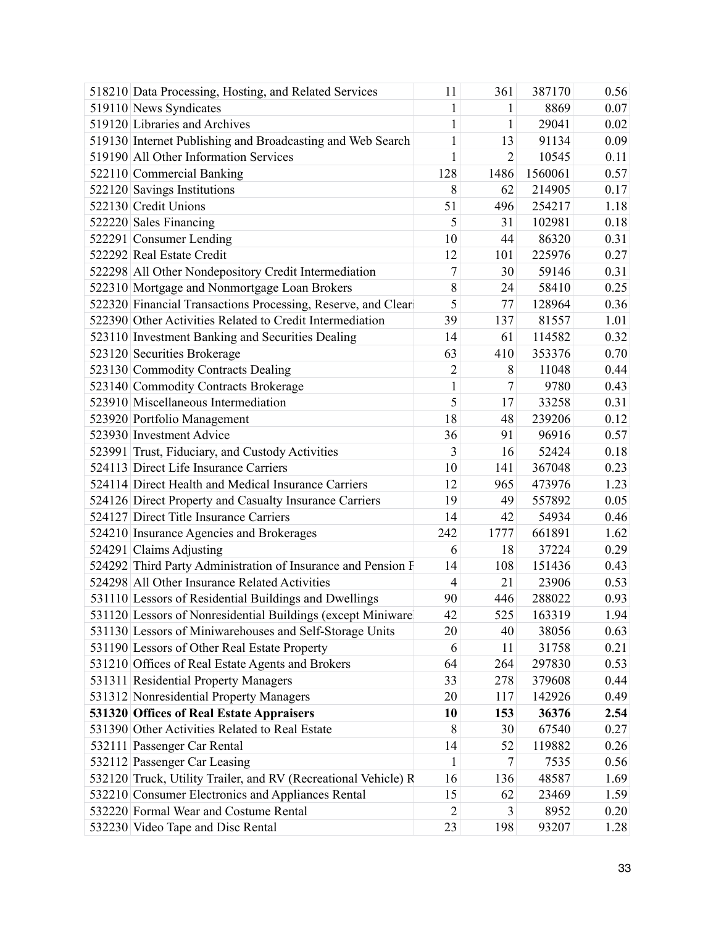| 519110 News Syndicates<br>$\mathbf{1}$<br>8869<br>1                                       | 0.07 |
|-------------------------------------------------------------------------------------------|------|
|                                                                                           |      |
| 519120 Libraries and Archives<br>$\mathbf{1}$<br>29041<br>1                               | 0.02 |
| 519130 Internet Publishing and Broadcasting and Web Search<br>$\mathbf{1}$<br>91134<br>13 | 0.09 |
| 519190 All Other Information Services<br>$\mathbf{1}$<br>2<br>10545                       | 0.11 |
| 128<br>1486<br>522110 Commercial Banking<br>1560061                                       | 0.57 |
| 522120 Savings Institutions<br>8<br>214905<br>62                                          | 0.17 |
| 522130 Credit Unions<br>51<br>496<br>254217                                               | 1.18 |
| 5<br>522220 Sales Financing<br>31<br>102981                                               | 0.18 |
| 522291 Consumer Lending<br>10<br>44<br>86320                                              | 0.31 |
| 522292 Real Estate Credit<br>12<br>101<br>225976                                          | 0.27 |
| 522298 All Other Nondepository Credit Intermediation<br>$\tau$<br>59146<br>30             | 0.31 |
| 8<br>522310 Mortgage and Nonmortgage Loan Brokers<br>58410<br>24                          | 0.25 |
| 522320 Financial Transactions Processing, Reserve, and Clear<br>5<br>77<br>128964         | 0.36 |
| 39<br>522390 Other Activities Related to Credit Intermediation<br>137<br>81557            | 1.01 |
| 14<br>114582<br>523110 Investment Banking and Securities Dealing<br>61                    | 0.32 |
| 523120 Securities Brokerage<br>63<br>410<br>353376                                        | 0.70 |
| $\overline{2}$<br>523130 Commodity Contracts Dealing<br>11048<br>8                        | 0.44 |
| $\mathbf{1}$<br>523140 Commodity Contracts Brokerage<br>7<br>9780                         | 0.43 |
| 5<br>523910 Miscellaneous Intermediation<br>33258<br>17                                   | 0.31 |
| 18<br>523920 Portfolio Management<br>239206<br>48                                         | 0.12 |
| 523930 Investment Advice<br>36<br>96916<br>91                                             | 0.57 |
| 3<br>523991 Trust, Fiduciary, and Custody Activities<br>16<br>52424                       | 0.18 |
| 524113 Direct Life Insurance Carriers<br>10<br>141<br>367048                              | 0.23 |
| 524114 Direct Health and Medical Insurance Carriers<br>12<br>965<br>473976                | 1.23 |
| 524126 Direct Property and Casualty Insurance Carriers<br>19<br>49<br>557892              | 0.05 |
| 524127 Direct Title Insurance Carriers<br>14<br>42<br>54934                               | 0.46 |
| 661891<br>524210 Insurance Agencies and Brokerages<br>242<br>1777                         | 1.62 |
| 524291 Claims Adjusting<br>18<br>37224<br>6                                               | 0.29 |
| 524292 Third Party Administration of Insurance and Pension F<br>14<br>108<br>151436       | 0.43 |
| 524298 All Other Insurance Related Activities<br>21<br>23906<br>$\overline{4}$            | 0.53 |
| 531110 Lessors of Residential Buildings and Dwellings<br>90<br>446<br>288022              | 0.93 |
| 163319<br>531120 Lessors of Nonresidential Buildings (except Miniware<br>42<br>525        | 1.94 |
| 531130 Lessors of Miniwarehouses and Self-Storage Units<br>38056<br>20<br>40              | 0.63 |
| 531190 Lessors of Other Real Estate Property<br>6<br>11<br>31758                          | 0.21 |
| 531210 Offices of Real Estate Agents and Brokers<br>64<br>264<br>297830                   | 0.53 |
| 33<br>531311 Residential Property Managers<br>278<br>379608                               | 0.44 |
| 531312 Nonresidential Property Managers<br>20<br>117<br>142926                            | 0.49 |
| 531320 Offices of Real Estate Appraisers<br>36376<br>10<br>153                            | 2.54 |
| 531390 Other Activities Related to Real Estate<br>8<br>30<br>67540                        | 0.27 |
| 532111 Passenger Car Rental<br>14<br>52<br>119882                                         | 0.26 |
| 532112 Passenger Car Leasing<br>7<br>7535<br>1                                            | 0.56 |
| 532120 Truck, Utility Trailer, and RV (Recreational Vehicle) R<br>16<br>136<br>48587      | 1.69 |
| 532210 Consumer Electronics and Appliances Rental<br>15<br>62<br>23469                    | 1.59 |
| 532220 Formal Wear and Costume Rental<br>3<br>$\overline{2}$<br>8952                      | 0.20 |
| 532230 Video Tape and Disc Rental<br>23<br>93207<br>198                                   | 1.28 |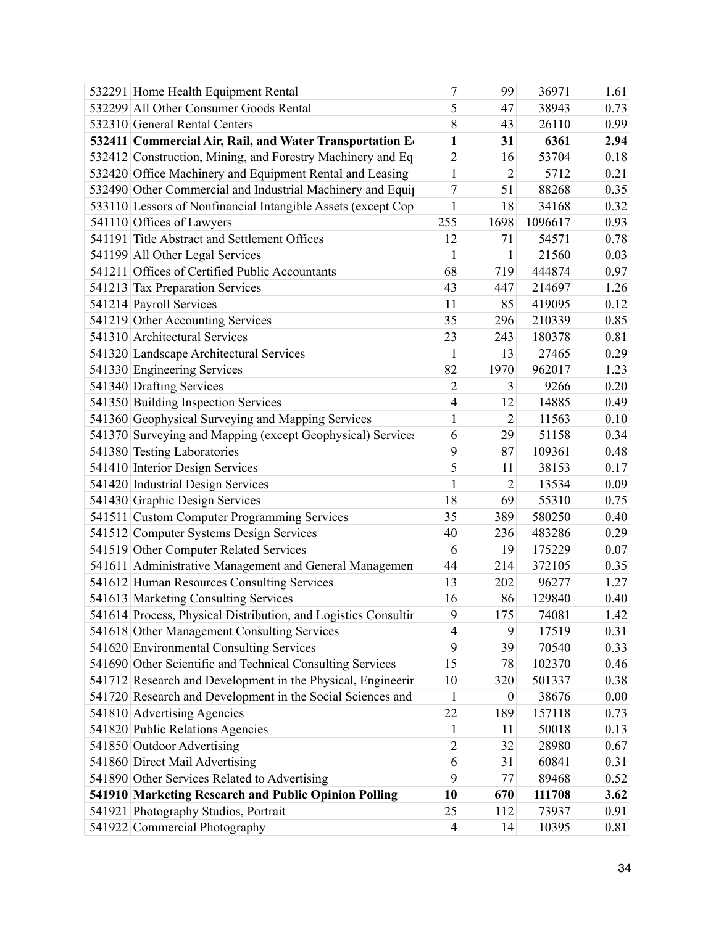| 532291 Home Health Equipment Rental                            | 7              | 99               | 36971   | 1.61 |
|----------------------------------------------------------------|----------------|------------------|---------|------|
| 532299 All Other Consumer Goods Rental                         | 5              | 47               | 38943   | 0.73 |
| 532310 General Rental Centers                                  | 8              | 43               | 26110   | 0.99 |
| 532411 Commercial Air, Rail, and Water Transportation E        | $\mathbf{1}$   | 31               | 6361    | 2.94 |
| 532412 Construction, Mining, and Forestry Machinery and Eq     | $\overline{2}$ | 16               | 53704   | 0.18 |
| 532420 Office Machinery and Equipment Rental and Leasing       | $\mathbf{1}$   | $\overline{2}$   | 5712    | 0.21 |
| 532490 Other Commercial and Industrial Machinery and Equip     | $\overline{7}$ | 51               | 88268   | 0.35 |
| 533110 Lessors of Nonfinancial Intangible Assets (except Cop   | $\mathbf{1}$   | 18               | 34168   | 0.32 |
| 541110 Offices of Lawyers                                      | 255            | 1698             | 1096617 | 0.93 |
| 541191 Title Abstract and Settlement Offices                   | 12             | 71               | 54571   | 0.78 |
| 541199 All Other Legal Services                                | 1              | 1                | 21560   | 0.03 |
| 541211 Offices of Certified Public Accountants                 | 68             | 719              | 444874  | 0.97 |
| 541213 Tax Preparation Services                                | 43             | 447              | 214697  | 1.26 |
| 541214 Payroll Services                                        | 11             | 85               | 419095  | 0.12 |
| 541219 Other Accounting Services                               | 35             | 296              | 210339  | 0.85 |
| 541310 Architectural Services                                  | 23             | 243              | 180378  | 0.81 |
| 541320 Landscape Architectural Services                        | 1              | 13               | 27465   | 0.29 |
| 541330 Engineering Services                                    | 82             | 1970             | 962017  | 1.23 |
| 541340 Drafting Services                                       | $\overline{2}$ | 3                | 9266    | 0.20 |
| 541350 Building Inspection Services                            | $\overline{4}$ | 12               | 14885   | 0.49 |
| 541360 Geophysical Surveying and Mapping Services              | $\mathbf{1}$   | $\overline{2}$   | 11563   | 0.10 |
| 541370 Surveying and Mapping (except Geophysical) Service      | 6              | 29               | 51158   | 0.34 |
| 541380 Testing Laboratories                                    | 9              | 87               | 109361  | 0.48 |
| 541410 Interior Design Services                                | 5              | 11               | 38153   | 0.17 |
| 541420 Industrial Design Services                              | 1              | $\overline{2}$   | 13534   | 0.09 |
| 541430 Graphic Design Services                                 | 18             | 69               | 55310   | 0.75 |
| 541511 Custom Computer Programming Services                    | 35             | 389              | 580250  | 0.40 |
| 541512 Computer Systems Design Services                        | 40             | 236              | 483286  | 0.29 |
| 541519 Other Computer Related Services                         | 6              | 19               | 175229  | 0.07 |
| 541611 Administrative Management and General Managemen         | 44             | 214              | 372105  | 0.35 |
| 541612 Human Resources Consulting Services                     | 13             | 202              | 96277   | 1.27 |
| 541613 Marketing Consulting Services                           | 16             | 86               | 129840  | 0.40 |
| 541614 Process, Physical Distribution, and Logistics Consultir | 9              | 175              | 74081   | 1.42 |
| 541618 Other Management Consulting Services                    | $\overline{4}$ | 9                | 17519   | 0.31 |
| 541620 Environmental Consulting Services                       | 9              | 39               | 70540   | 0.33 |
| 541690 Other Scientific and Technical Consulting Services      | 15             | 78               | 102370  | 0.46 |
| 541712 Research and Development in the Physical, Engineerir    | 10             | 320              | 501337  | 0.38 |
| 541720 Research and Development in the Social Sciences and     | 1              | $\boldsymbol{0}$ | 38676   | 0.00 |
| 541810 Advertising Agencies                                    | 22             | 189              | 157118  | 0.73 |
| 541820 Public Relations Agencies                               | 1              | 11               | 50018   | 0.13 |
| 541850 Outdoor Advertising                                     | $\overline{2}$ | 32               | 28980   | 0.67 |
| 541860 Direct Mail Advertising                                 | 6              | 31               | 60841   | 0.31 |
| 541890 Other Services Related to Advertising                   | 9              | 77               | 89468   | 0.52 |
| 541910 Marketing Research and Public Opinion Polling           | 10             | 670              | 111708  | 3.62 |
| 541921 Photography Studios, Portrait                           | 25             | 112              | 73937   | 0.91 |
| 541922 Commercial Photography                                  | $\overline{4}$ | 14               | 10395   | 0.81 |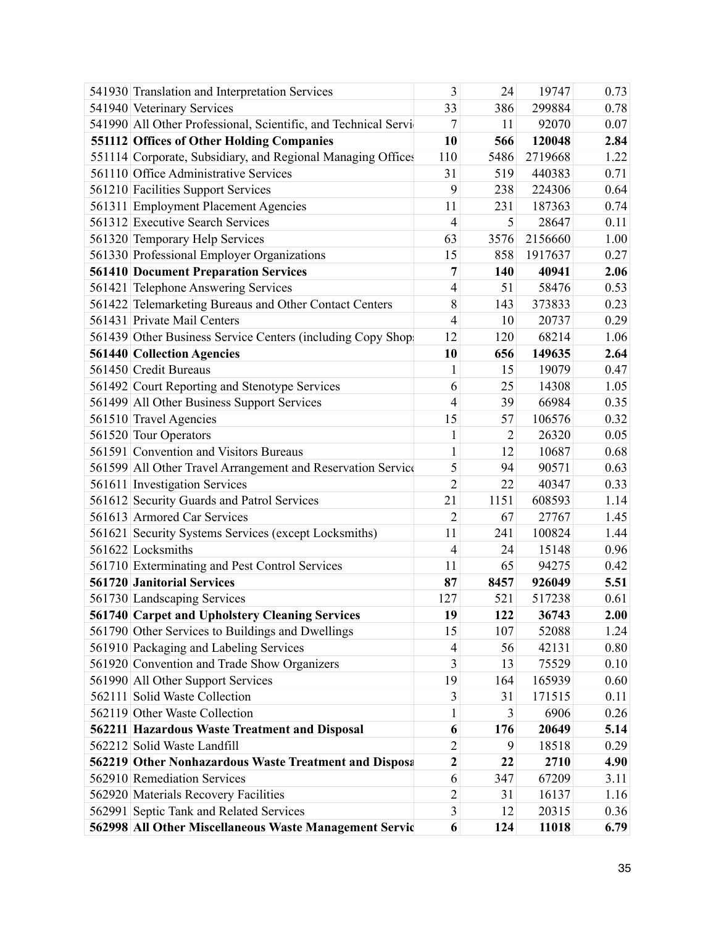| 541930 Translation and Interpretation Services                 | 3                       | 24             | 19747   | 0.73 |
|----------------------------------------------------------------|-------------------------|----------------|---------|------|
| 541940 Veterinary Services                                     | 33                      | 386            | 299884  | 0.78 |
| 541990 All Other Professional, Scientific, and Technical Servi | $\tau$                  | 11             | 92070   | 0.07 |
| 551112 Offices of Other Holding Companies                      | 10                      | 566            | 120048  | 2.84 |
| 551114 Corporate, Subsidiary, and Regional Managing Offices    | 110                     | 5486           | 2719668 | 1.22 |
| 561110 Office Administrative Services                          | 31                      | 519            | 440383  | 0.71 |
| 561210 Facilities Support Services                             | 9                       | 238            | 224306  | 0.64 |
| 561311 Employment Placement Agencies                           | 11                      | 231            | 187363  | 0.74 |
| 561312 Executive Search Services                               | $\overline{4}$          | 5              | 28647   | 0.11 |
| 561320 Temporary Help Services                                 | 63                      | 3576           | 2156660 | 1.00 |
| 561330 Professional Employer Organizations                     | 15                      | 858            | 1917637 | 0.27 |
| <b>561410 Document Preparation Services</b>                    | 7                       | 140            | 40941   | 2.06 |
| 561421 Telephone Answering Services                            | $\overline{4}$          | 51             | 58476   | 0.53 |
| 561422 Telemarketing Bureaus and Other Contact Centers         | 8                       | 143            | 373833  | 0.23 |
| 561431 Private Mail Centers                                    | $\overline{4}$          | 10             | 20737   | 0.29 |
| 561439 Other Business Service Centers (including Copy Shop     | 12                      | 120            | 68214   | 1.06 |
| <b>561440 Collection Agencies</b>                              | 10                      | 656            | 149635  | 2.64 |
| 561450 Credit Bureaus                                          | 1                       | 15             | 19079   | 0.47 |
| 561492 Court Reporting and Stenotype Services                  | 6                       | 25             | 14308   | 1.05 |
| 561499 All Other Business Support Services                     | $\overline{4}$          | 39             | 66984   | 0.35 |
| 561510 Travel Agencies                                         | 15                      | 57             | 106576  | 0.32 |
| 561520 Tour Operators                                          | $\mathbf{1}$            | $\overline{2}$ | 26320   | 0.05 |
| 561591 Convention and Visitors Bureaus                         | $\mathbf{1}$            | 12             | 10687   | 0.68 |
| 561599 All Other Travel Arrangement and Reservation Service    | 5                       | 94             | 90571   | 0.63 |
| 561611 Investigation Services                                  | $\overline{2}$          | 22             | 40347   | 0.33 |
| 561612 Security Guards and Patrol Services                     | 21                      | 1151           | 608593  | 1.14 |
| 561613 Armored Car Services                                    | $\overline{2}$          | 67             | 27767   | 1.45 |
| 561621 Security Systems Services (except Locksmiths)           | 11                      | 241            | 100824  | 1.44 |
| 561622 Locksmiths                                              | $\overline{4}$          | 24             | 15148   | 0.96 |
| 561710 Exterminating and Pest Control Services                 | 11                      | 65             | 94275   | 0.42 |
| <b>561720 Janitorial Services</b>                              | 87                      | 8457           | 926049  | 5.51 |
| 561730 Landscaping Services                                    | 127                     | 521            | 517238  | 0.61 |
| 561740 Carpet and Upholstery Cleaning Services                 | 19                      | 122            | 36743   | 2.00 |
| 561790 Other Services to Buildings and Dwellings               | 15                      | 107            | 52088   | 1.24 |
| 561910 Packaging and Labeling Services                         | $\overline{4}$          | 56             | 42131   | 0.80 |
| 561920 Convention and Trade Show Organizers                    | 3                       | 13             | 75529   | 0.10 |
| 561990 All Other Support Services                              | 19                      | 164            | 165939  | 0.60 |
| 562111 Solid Waste Collection                                  | $\mathfrak{Z}$          | 31             | 171515  | 0.11 |
| 562119 Other Waste Collection                                  | $\mathbf{1}$            | 3              | 6906    | 0.26 |
| 562211 Hazardous Waste Treatment and Disposal                  | 6                       | 176            | 20649   | 5.14 |
| 562212 Solid Waste Landfill                                    | $\overline{2}$          | 9              | 18518   | 0.29 |
| 562219 Other Nonhazardous Waste Treatment and Disposa          | $\overline{\mathbf{c}}$ | 22             | 2710    | 4.90 |
| 562910 Remediation Services                                    | 6                       | 347            | 67209   | 3.11 |
| 562920 Materials Recovery Facilities                           | $\overline{c}$          | 31             | 16137   | 1.16 |
| 562991 Septic Tank and Related Services                        | $\overline{3}$          | 12             | 20315   | 0.36 |
| 562998 All Other Miscellaneous Waste Management Servic         | 6                       | 124            | 11018   | 6.79 |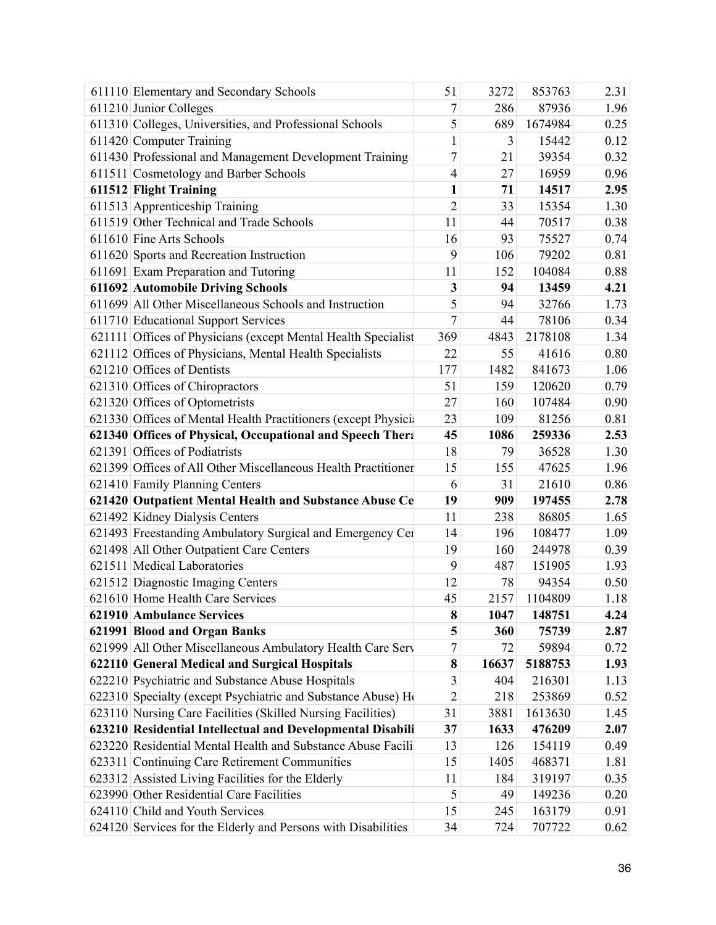| 611110 Elementary and Secondary Schools                       | 51             | 3272  | 853763  | 2.31 |
|---------------------------------------------------------------|----------------|-------|---------|------|
| 611210 Junior Colleges                                        | 7              | 286   | 87936   | 1.96 |
| 611310 Colleges, Universities, and Professional Schools       | 5              | 689   | 1674984 | 0.25 |
| 611420 Computer Training                                      | $\mathbf{1}$   | 3     | 15442   | 0.12 |
| 611430 Professional and Management Development Training       | 7              | 21    | 39354   | 0.32 |
| 611511 Cosmetology and Barber Schools                         | $\overline{4}$ | 27    | 16959   | 0.96 |
| 611512 Flight Training                                        | $\mathbf{1}$   | 71    | 14517   | 2.95 |
| 611513 Apprenticeship Training                                | $\overline{2}$ | 33    | 15354   | 1.30 |
| 611519 Other Technical and Trade Schools                      | 11             | 44    | 70517   | 0.38 |
| 611610 Fine Arts Schools                                      | 16             | 93    | 75527   | 0.74 |
| 611620 Sports and Recreation Instruction                      | 9              | 106   | 79202   | 0.81 |
| 611691 Exam Preparation and Tutoring                          | 11             | 152   | 104084  | 0.88 |
| 611692 Automobile Driving Schools                             | 3              | 94    | 13459   | 4.21 |
| 611699 All Other Miscellaneous Schools and Instruction        | 5              | 94    | 32766   | 1.73 |
| 611710 Educational Support Services                           | 7              | 44    | 78106   | 0.34 |
| 621111 Offices of Physicians (except Mental Health Specialist | 369            | 4843  | 2178108 | 1.34 |
| 621112 Offices of Physicians, Mental Health Specialists       | 22             | 55    | 41616   | 0.80 |
| 621210 Offices of Dentists                                    | 177            | 1482  | 841673  | 1.06 |
| 621310 Offices of Chiropractors                               | 51             | 159   | 120620  | 0.79 |
| 621320 Offices of Optometrists                                | 27             | 160   | 107484  | 0.90 |
| 621330 Offices of Mental Health Practitioners (except Physici | 23             | 109   | 81256   | 0.81 |
| 621340 Offices of Physical, Occupational and Speech Thera     | 45             | 1086  | 259336  | 2.53 |
| 621391 Offices of Podiatrists                                 | 18             | 79    | 36528   | 1.30 |
| 621399 Offices of All Other Miscellaneous Health Practitioner | 15             | 155   | 47625   | 1.96 |
| 621410 Family Planning Centers                                | 6              | 31    | 21610   | 0.86 |
| 621420 Outpatient Mental Health and Substance Abuse Ce        | 19             | 909   | 197455  | 2.78 |
| 621492 Kidney Dialysis Centers                                | 11             | 238   | 86805   | 1.65 |
| 621493 Freestanding Ambulatory Surgical and Emergency Cer     | 14             | 196   | 108477  | 1.09 |
| 621498 All Other Outpatient Care Centers                      | 19             | 160   | 244978  | 0.39 |
| 621511 Medical Laboratories                                   | 9              | 487   | 151905  | 1.93 |
| 621512 Diagnostic Imaging Centers                             | 12             | 78    | 94354   | 0.50 |
| 621610 Home Health Care Services                              | 45             | 2157  | 1104809 | 1.18 |
| 621910 Ambulance Services                                     | 8              | 1047  | 148751  | 4.24 |
| 621991 Blood and Organ Banks                                  | 5              | 360   | 75739   | 2.87 |
| 621999 All Other Miscellaneous Ambulatory Health Care Serv    | 7              | 72    | 59894   | 0.72 |
| 622110 General Medical and Surgical Hospitals                 | 8              | 16637 | 5188753 | 1.93 |
| 622210 Psychiatric and Substance Abuse Hospitals              | 3              | 404   | 216301  | 1.13 |
| 622310 Specialty (except Psychiatric and Substance Abuse) Ho  | $\overline{c}$ | 218   | 253869  | 0.52 |
| 623110 Nursing Care Facilities (Skilled Nursing Facilities)   | 31             | 3881  | 1613630 | 1.45 |
| 623210 Residential Intellectual and Developmental Disabili    | 37             | 1633  | 476209  | 2.07 |
| 623220 Residential Mental Health and Substance Abuse Facili   | 13             | 126   | 154119  | 0.49 |
| 623311 Continuing Care Retirement Communities                 | 15             | 1405  | 468371  | 1.81 |
| 623312 Assisted Living Facilities for the Elderly             | 11             | 184   | 319197  | 0.35 |
| 623990 Other Residential Care Facilities                      | 5              | 49    | 149236  | 0.20 |
| 624110 Child and Youth Services                               | 15             | 245   | 163179  | 0.91 |
| 624120 Services for the Elderly and Persons with Disabilities | 34             | 724   | 707722  | 0.62 |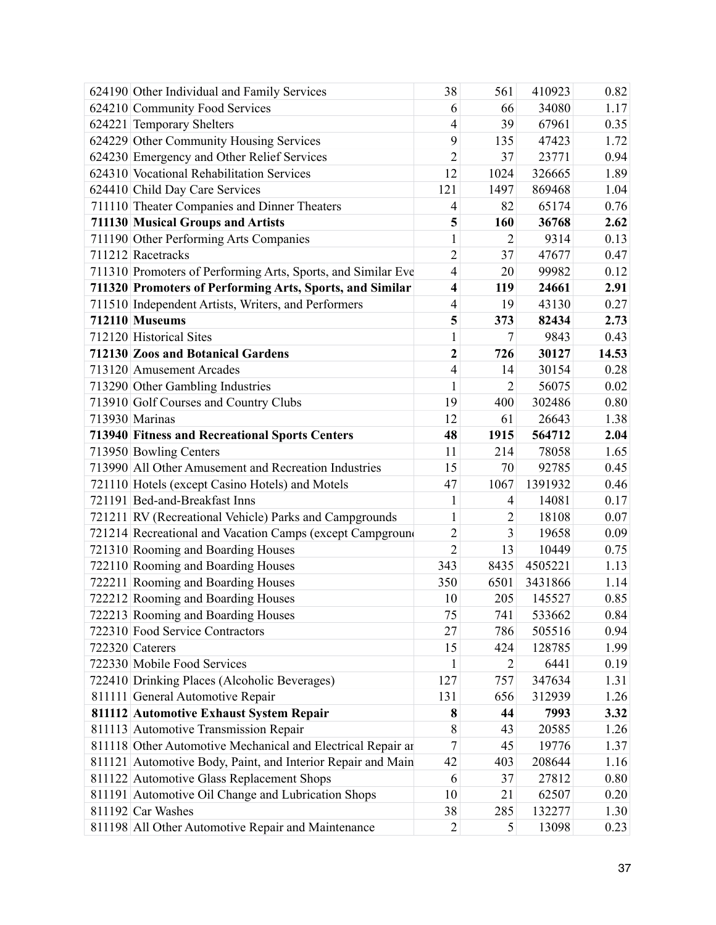| 624190 Other Individual and Family Services                  | 38                      | 561            | 410923  | 0.82  |
|--------------------------------------------------------------|-------------------------|----------------|---------|-------|
| 624210 Community Food Services                               | 6                       | 66             | 34080   | 1.17  |
| 624221 Temporary Shelters                                    | $\overline{4}$          | 39             | 67961   | 0.35  |
| 624229 Other Community Housing Services                      | 9                       | 135            | 47423   | 1.72  |
| 624230 Emergency and Other Relief Services                   | $\overline{2}$          | 37             | 23771   | 0.94  |
| 624310 Vocational Rehabilitation Services                    | 12                      | 1024           | 326665  | 1.89  |
| 624410 Child Day Care Services                               | 121                     | 1497           | 869468  | 1.04  |
| 711110 Theater Companies and Dinner Theaters                 | 4                       | 82             | 65174   | 0.76  |
| 711130 Musical Groups and Artists                            | 5                       | 160            | 36768   | 2.62  |
| 711190 Other Performing Arts Companies                       | $\mathbf{1}$            | $\overline{2}$ | 9314    | 0.13  |
| 711212 Racetracks                                            | $\overline{2}$          | 37             | 47677   | 0.47  |
| 711310 Promoters of Performing Arts, Sports, and Similar Eve | $\overline{4}$          | 20             | 99982   | 0.12  |
| 711320 Promoters of Performing Arts, Sports, and Similar     | $\overline{\mathbf{4}}$ | 119            | 24661   | 2.91  |
| 711510 Independent Artists, Writers, and Performers          | 4                       | 19             | 43130   | 0.27  |
| 712110 Museums                                               | 5                       | 373            | 82434   | 2.73  |
| 712120 Historical Sites                                      | $\mathbf{1}$            | $\tau$         | 9843    | 0.43  |
| 712130 Zoos and Botanical Gardens                            | $\overline{\mathbf{c}}$ | 726            | 30127   | 14.53 |
| 713120 Amusement Arcades                                     | $\overline{4}$          | 14             | 30154   | 0.28  |
| 713290 Other Gambling Industries                             | $\mathbf{1}$            | $\overline{2}$ | 56075   | 0.02  |
| 713910 Golf Courses and Country Clubs                        | 19                      | 400            | 302486  | 0.80  |
| 713930 Marinas                                               | 12                      | 61             | 26643   | 1.38  |
| <b>713940 Fitness and Recreational Sports Centers</b>        | 48                      | 1915           | 564712  | 2.04  |
| 713950 Bowling Centers                                       | 11                      | 214            | 78058   | 1.65  |
| 713990 All Other Amusement and Recreation Industries         | 15                      | 70             | 92785   | 0.45  |
| 721110 Hotels (except Casino Hotels) and Motels              | 47                      | 1067           | 1391932 | 0.46  |
| 721191 Bed-and-Breakfast Inns                                | $\mathbf{1}$            | 4              | 14081   | 0.17  |
| 721211 RV (Recreational Vehicle) Parks and Campgrounds       | $\mathbf{1}$            | $\overline{2}$ | 18108   | 0.07  |
| 721214 Recreational and Vacation Camps (except Campground    | $\overline{2}$          | 3              | 19658   | 0.09  |
| 721310 Rooming and Boarding Houses                           | $\overline{2}$          | 13             | 10449   | 0.75  |
| 722110 Rooming and Boarding Houses                           | 343                     | 8435           | 4505221 | 1.13  |
| 722211 Rooming and Boarding Houses                           | 350                     | 6501           | 3431866 | 1.14  |
| 722212 Rooming and Boarding Houses                           | 10                      | 205            | 145527  | 0.85  |
| 722213 Rooming and Boarding Houses                           | 75                      | 741            | 533662  | 0.84  |
| 722310 Food Service Contractors                              | 27                      | 786            | 505516  | 0.94  |
| 722320 Caterers                                              | 15                      | 424            | 128785  | 1.99  |
| 722330 Mobile Food Services                                  | 1                       | $\overline{2}$ | 6441    | 0.19  |
| 722410 Drinking Places (Alcoholic Beverages)                 | 127                     | 757            | 347634  | 1.31  |
| 811111 General Automotive Repair                             | 131                     | 656            | 312939  | 1.26  |
| 811112 Automotive Exhaust System Repair                      | $\bf{8}$                | 44             | 7993    | 3.32  |
| 811113 Automotive Transmission Repair                        | 8                       | 43             | 20585   | 1.26  |
| 811118 Other Automotive Mechanical and Electrical Repair ar  | $\tau$                  | 45             | 19776   | 1.37  |
| 811121 Automotive Body, Paint, and Interior Repair and Main  | 42                      | 403            | 208644  | 1.16  |
| 811122 Automotive Glass Replacement Shops                    | 6                       | 37             | 27812   | 0.80  |
| 811191 Automotive Oil Change and Lubrication Shops           | 10                      | 21             | 62507   | 0.20  |
| 811192 Car Washes                                            | 38                      | 285            | 132277  | 1.30  |
| 811198 All Other Automotive Repair and Maintenance           | $\overline{2}$          | 5              | 13098   | 0.23  |
|                                                              |                         |                |         |       |